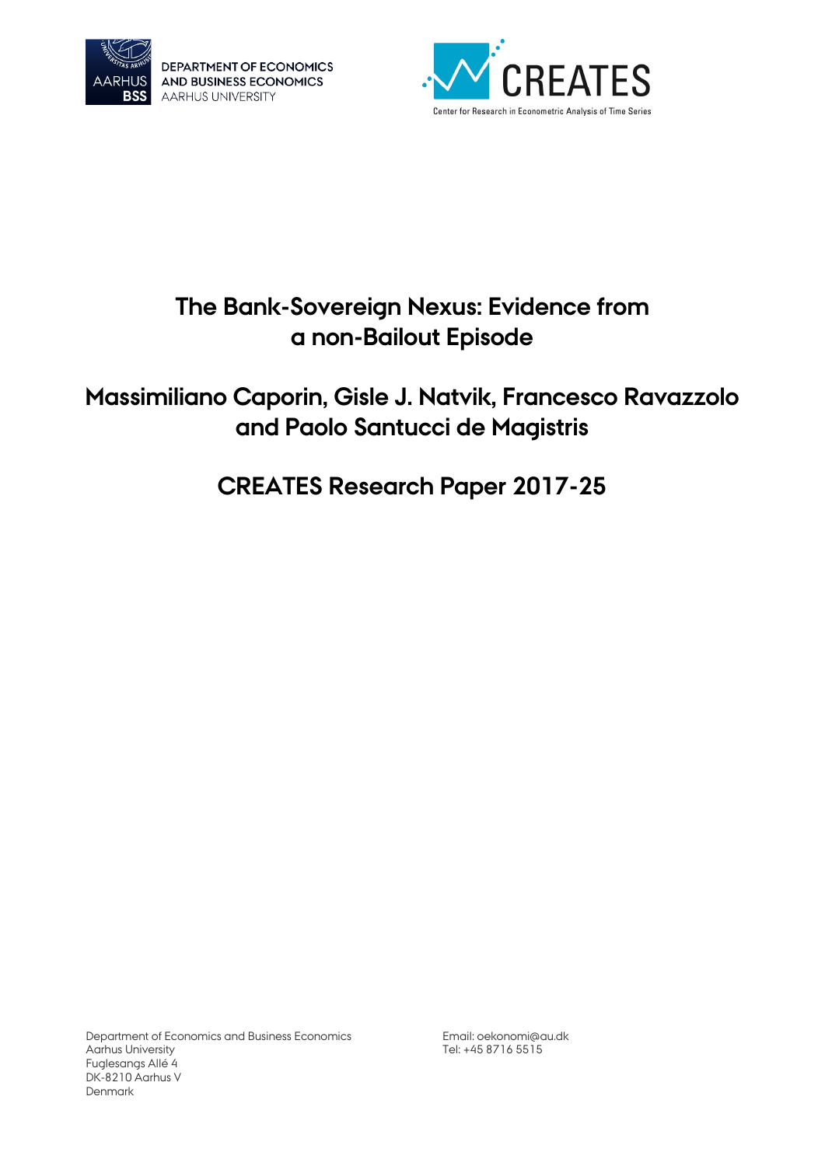

DEPARTMENT OF ECONOMICS AND BUSINESS ECONOMICS **AARHUS UNIVERSITY** 



# **The Bank-Sovereign Nexus: Evidence from a non-Bailout Episode**

# **Massimiliano Caporin, Gisle J. Natvik, Francesco Ravazzolo and Paolo Santucci de Magistris**

# **CREATES Research Paper 2017-25**

Department of Economics and Business Economics Aarhus University Fuglesangs Allé 4 DK-8210 Aarhus V Denmark

Email[: oekonomi@au.dk](mailto:oekonomi@au.dk) Tel: +45 8716 5515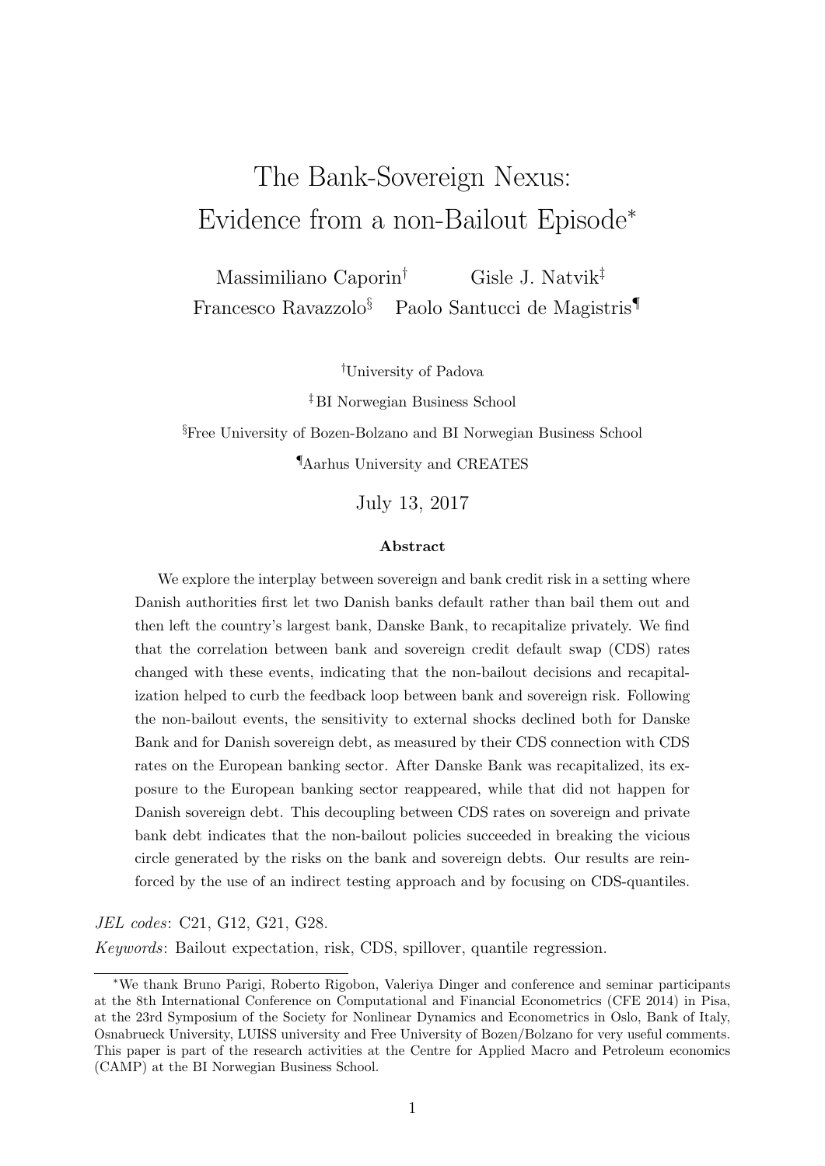# The Bank-Sovereign Nexus: Evidence from a non-Bailout Episode<sup>∗</sup>

Massimiliano Caporin† Gisle J. Natvik‡ Francesco Ravazzolo§ Paolo Santucci de Magistris¶

†University of Padova

‡ BI Norwegian Business School

§Free University of Bozen-Bolzano and BI Norwegian Business School ¶Aarhus University and CREATES

July 13, 2017

#### Abstract

We explore the interplay between sovereign and bank credit risk in a setting where Danish authorities first let two Danish banks default rather than bail them out and then left the country's largest bank, Danske Bank, to recapitalize privately. We find that the correlation between bank and sovereign credit default swap (CDS) rates changed with these events, indicating that the non-bailout decisions and recapitalization helped to curb the feedback loop between bank and sovereign risk. Following the non-bailout events, the sensitivity to external shocks declined both for Danske Bank and for Danish sovereign debt, as measured by their CDS connection with CDS rates on the European banking sector. After Danske Bank was recapitalized, its exposure to the European banking sector reappeared, while that did not happen for Danish sovereign debt. This decoupling between CDS rates on sovereign and private bank debt indicates that the non-bailout policies succeeded in breaking the vicious circle generated by the risks on the bank and sovereign debts. Our results are reinforced by the use of an indirect testing approach and by focusing on CDS-quantiles.

JEL codes: C21, G12, G21, G28.

Keywords: Bailout expectation, risk, CDS, spillover, quantile regression.

<sup>∗</sup>We thank Bruno Parigi, Roberto Rigobon, Valeriya Dinger and conference and seminar participants at the 8th International Conference on Computational and Financial Econometrics (CFE 2014) in Pisa, at the 23rd Symposium of the Society for Nonlinear Dynamics and Econometrics in Oslo, Bank of Italy, Osnabrueck University, LUISS university and Free University of Bozen/Bolzano for very useful comments. This paper is part of the research activities at the Centre for Applied Macro and Petroleum economics (CAMP) at the BI Norwegian Business School.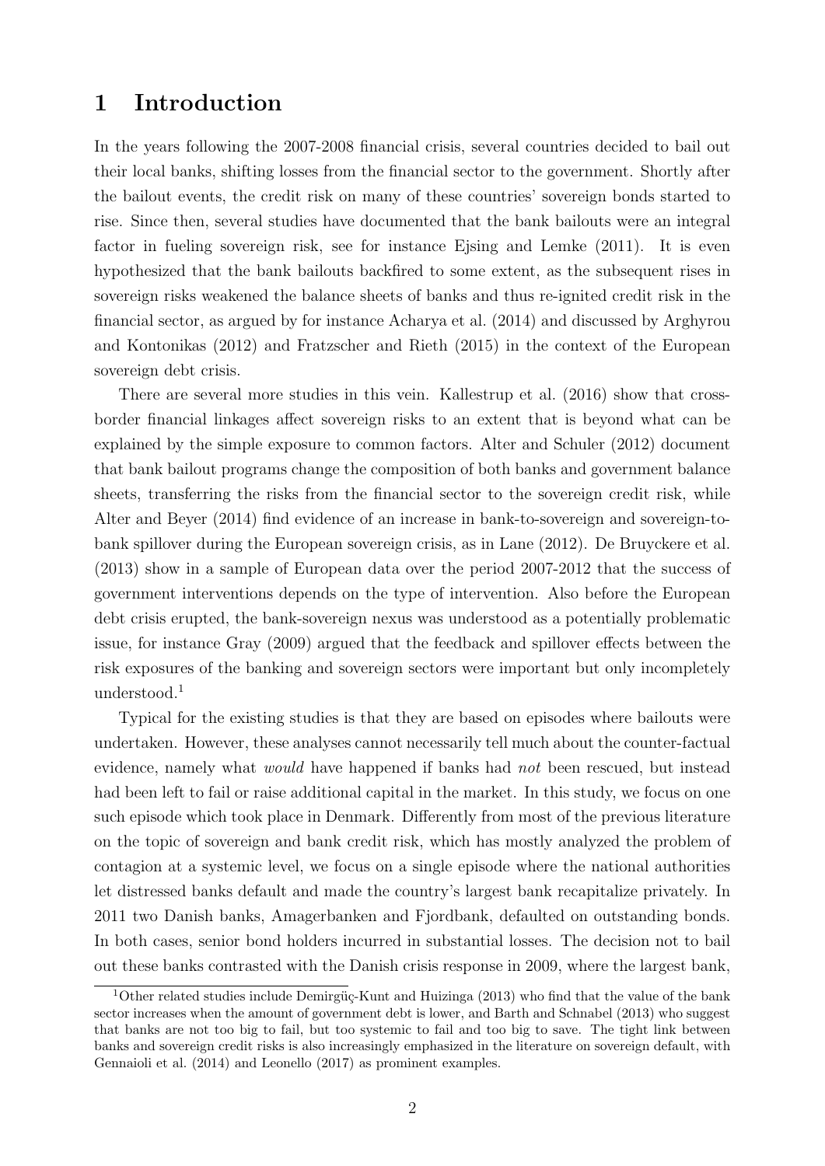### 1 Introduction

In the years following the 2007-2008 financial crisis, several countries decided to bail out their local banks, shifting losses from the financial sector to the government. Shortly after the bailout events, the credit risk on many of these countries' sovereign bonds started to rise. Since then, several studies have documented that the bank bailouts were an integral factor in fueling sovereign risk, see for instance Ejsing and Lemke (2011). It is even hypothesized that the bank bailouts backfired to some extent, as the subsequent rises in sovereign risks weakened the balance sheets of banks and thus re-ignited credit risk in the financial sector, as argued by for instance Acharya et al. (2014) and discussed by Arghyrou and Kontonikas (2012) and Fratzscher and Rieth (2015) in the context of the European sovereign debt crisis.

There are several more studies in this vein. Kallestrup et al. (2016) show that crossborder financial linkages affect sovereign risks to an extent that is beyond what can be explained by the simple exposure to common factors. Alter and Schuler (2012) document that bank bailout programs change the composition of both banks and government balance sheets, transferring the risks from the financial sector to the sovereign credit risk, while Alter and Beyer (2014) find evidence of an increase in bank-to-sovereign and sovereign-tobank spillover during the European sovereign crisis, as in Lane (2012). De Bruyckere et al. (2013) show in a sample of European data over the period 2007-2012 that the success of government interventions depends on the type of intervention. Also before the European debt crisis erupted, the bank-sovereign nexus was understood as a potentially problematic issue, for instance Gray (2009) argued that the feedback and spillover effects between the risk exposures of the banking and sovereign sectors were important but only incompletely understood.<sup>1</sup>

Typical for the existing studies is that they are based on episodes where bailouts were undertaken. However, these analyses cannot necessarily tell much about the counter-factual evidence, namely what would have happened if banks had not been rescued, but instead had been left to fail or raise additional capital in the market. In this study, we focus on one such episode which took place in Denmark. Differently from most of the previous literature on the topic of sovereign and bank credit risk, which has mostly analyzed the problem of contagion at a systemic level, we focus on a single episode where the national authorities let distressed banks default and made the country's largest bank recapitalize privately. In 2011 two Danish banks, Amagerbanken and Fjordbank, defaulted on outstanding bonds. In both cases, senior bond holders incurred in substantial losses. The decision not to bail out these banks contrasted with the Danish crisis response in 2009, where the largest bank,

<sup>&</sup>lt;sup>1</sup>Other related studies include Demirgüç-Kunt and Huizinga (2013) who find that the value of the bank sector increases when the amount of government debt is lower, and Barth and Schnabel (2013) who suggest that banks are not too big to fail, but too systemic to fail and too big to save. The tight link between banks and sovereign credit risks is also increasingly emphasized in the literature on sovereign default, with Gennaioli et al. (2014) and Leonello (2017) as prominent examples.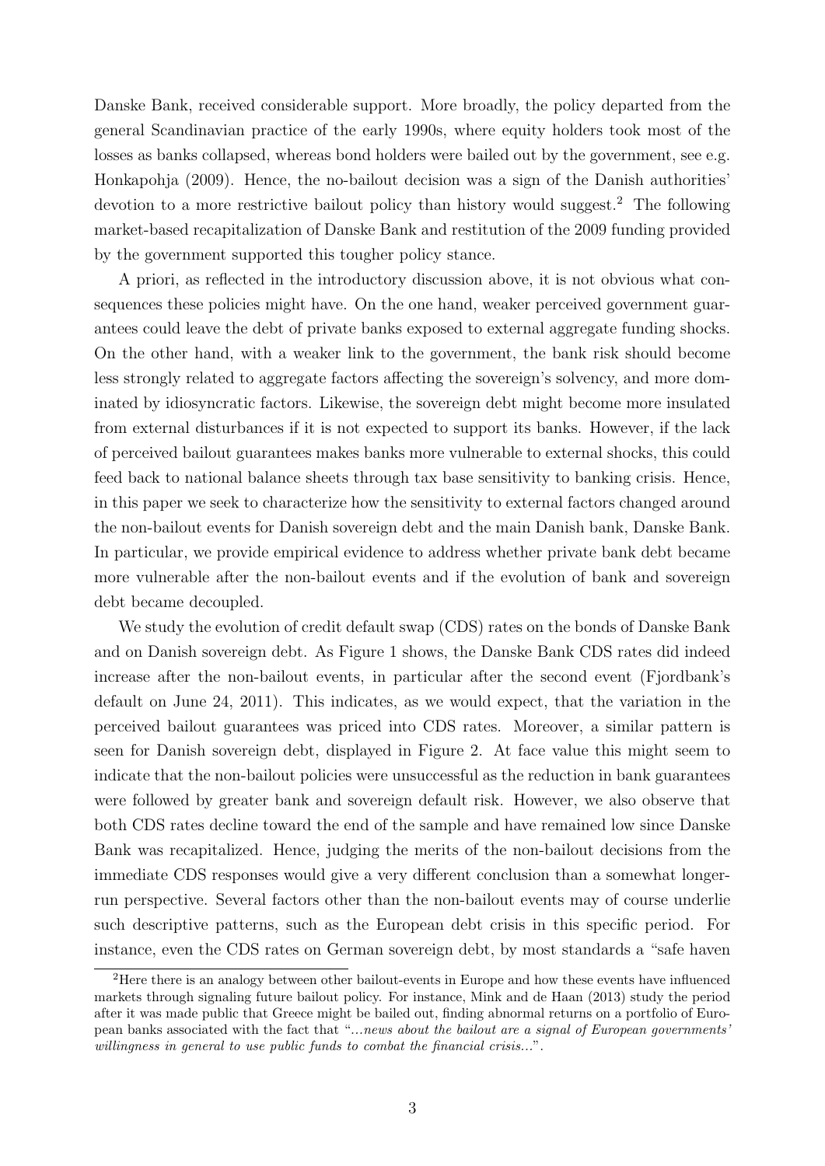Danske Bank, received considerable support. More broadly, the policy departed from the general Scandinavian practice of the early 1990s, where equity holders took most of the losses as banks collapsed, whereas bond holders were bailed out by the government, see e.g. Honkapohja (2009). Hence, the no-bailout decision was a sign of the Danish authorities' devotion to a more restrictive bailout policy than history would suggest.<sup>2</sup> The following market-based recapitalization of Danske Bank and restitution of the 2009 funding provided by the government supported this tougher policy stance.

A priori, as reflected in the introductory discussion above, it is not obvious what consequences these policies might have. On the one hand, weaker perceived government guarantees could leave the debt of private banks exposed to external aggregate funding shocks. On the other hand, with a weaker link to the government, the bank risk should become less strongly related to aggregate factors affecting the sovereign's solvency, and more dominated by idiosyncratic factors. Likewise, the sovereign debt might become more insulated from external disturbances if it is not expected to support its banks. However, if the lack of perceived bailout guarantees makes banks more vulnerable to external shocks, this could feed back to national balance sheets through tax base sensitivity to banking crisis. Hence, in this paper we seek to characterize how the sensitivity to external factors changed around the non-bailout events for Danish sovereign debt and the main Danish bank, Danske Bank. In particular, we provide empirical evidence to address whether private bank debt became more vulnerable after the non-bailout events and if the evolution of bank and sovereign debt became decoupled.

We study the evolution of credit default swap (CDS) rates on the bonds of Danske Bank and on Danish sovereign debt. As Figure 1 shows, the Danske Bank CDS rates did indeed increase after the non-bailout events, in particular after the second event (Fjordbank's default on June 24, 2011). This indicates, as we would expect, that the variation in the perceived bailout guarantees was priced into CDS rates. Moreover, a similar pattern is seen for Danish sovereign debt, displayed in Figure 2. At face value this might seem to indicate that the non-bailout policies were unsuccessful as the reduction in bank guarantees were followed by greater bank and sovereign default risk. However, we also observe that both CDS rates decline toward the end of the sample and have remained low since Danske Bank was recapitalized. Hence, judging the merits of the non-bailout decisions from the immediate CDS responses would give a very different conclusion than a somewhat longerrun perspective. Several factors other than the non-bailout events may of course underlie such descriptive patterns, such as the European debt crisis in this specific period. For instance, even the CDS rates on German sovereign debt, by most standards a "safe haven

<sup>2</sup>Here there is an analogy between other bailout-events in Europe and how these events have influenced markets through signaling future bailout policy. For instance, Mink and de Haan (2013) study the period after it was made public that Greece might be bailed out, finding abnormal returns on a portfolio of European banks associated with the fact that "...news about the bailout are a signal of European governments' willingness in general to use public funds to combat the financial crisis...".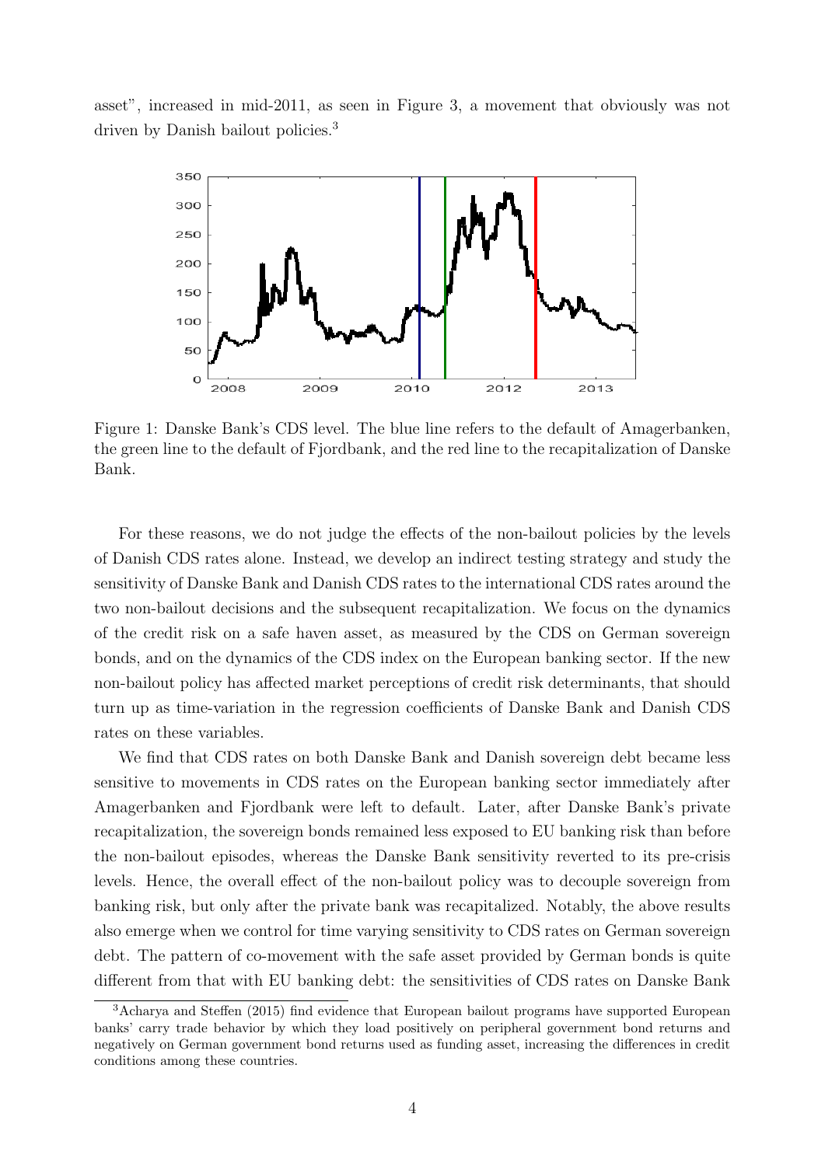asset", increased in mid-2011, as seen in Figure 3, a movement that obviously was not driven by Danish bailout policies.<sup>3</sup>



Figure 1: Danske Bank's CDS level. The blue line refers to the default of Amagerbanken, the green line to the default of Fjordbank, and the red line to the recapitalization of Danske Bank.

For these reasons, we do not judge the effects of the non-bailout policies by the levels of Danish CDS rates alone. Instead, we develop an indirect testing strategy and study the sensitivity of Danske Bank and Danish CDS rates to the international CDS rates around the two non-bailout decisions and the subsequent recapitalization. We focus on the dynamics of the credit risk on a safe haven asset, as measured by the CDS on German sovereign bonds, and on the dynamics of the CDS index on the European banking sector. If the new non-bailout policy has affected market perceptions of credit risk determinants, that should turn up as time-variation in the regression coefficients of Danske Bank and Danish CDS rates on these variables.

We find that CDS rates on both Danske Bank and Danish sovereign debt became less sensitive to movements in CDS rates on the European banking sector immediately after Amagerbanken and Fjordbank were left to default. Later, after Danske Bank's private recapitalization, the sovereign bonds remained less exposed to EU banking risk than before the non-bailout episodes, whereas the Danske Bank sensitivity reverted to its pre-crisis levels. Hence, the overall effect of the non-bailout policy was to decouple sovereign from banking risk, but only after the private bank was recapitalized. Notably, the above results also emerge when we control for time varying sensitivity to CDS rates on German sovereign debt. The pattern of co-movement with the safe asset provided by German bonds is quite different from that with EU banking debt: the sensitivities of CDS rates on Danske Bank

<sup>3</sup>Acharya and Steffen (2015) find evidence that European bailout programs have supported European banks' carry trade behavior by which they load positively on peripheral government bond returns and negatively on German government bond returns used as funding asset, increasing the differences in credit conditions among these countries.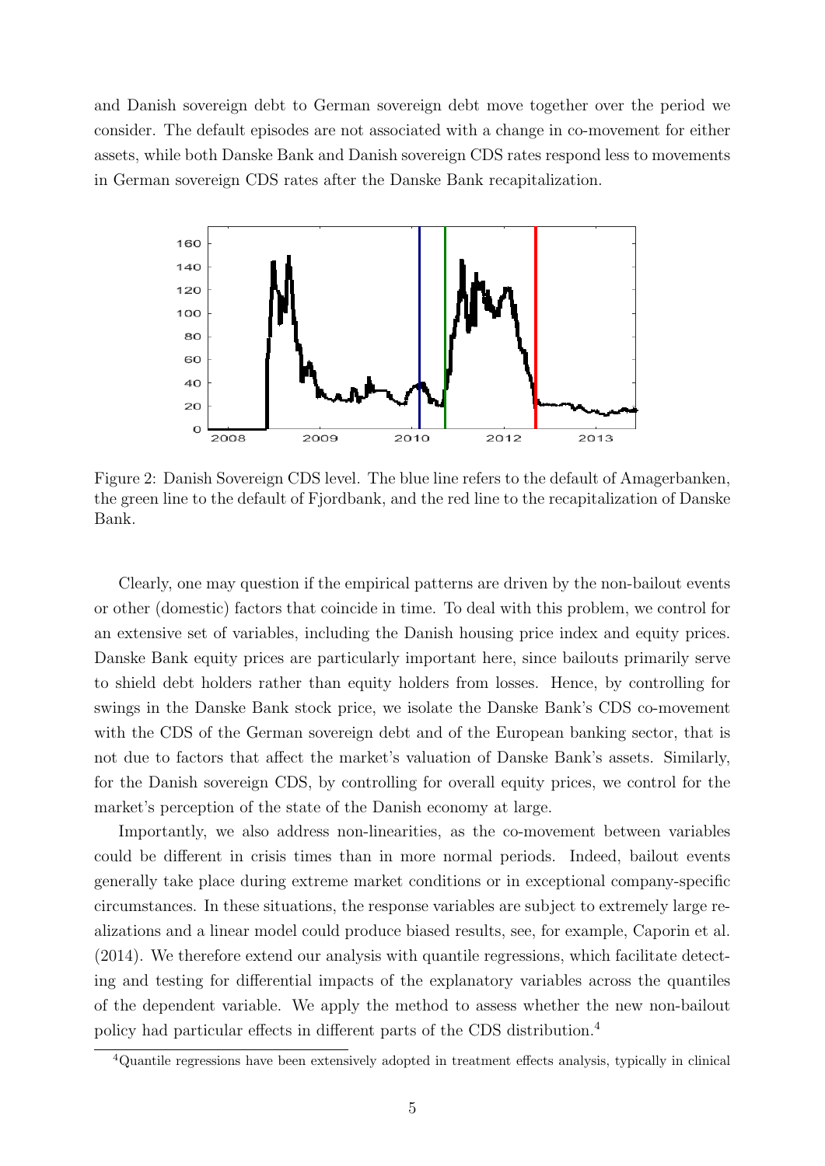and Danish sovereign debt to German sovereign debt move together over the period we consider. The default episodes are not associated with a change in co-movement for either assets, while both Danske Bank and Danish sovereign CDS rates respond less to movements in German sovereign CDS rates after the Danske Bank recapitalization.



Figure 2: Danish Sovereign CDS level. The blue line refers to the default of Amagerbanken, the green line to the default of Fjordbank, and the red line to the recapitalization of Danske Bank.

Clearly, one may question if the empirical patterns are driven by the non-bailout events or other (domestic) factors that coincide in time. To deal with this problem, we control for an extensive set of variables, including the Danish housing price index and equity prices. Danske Bank equity prices are particularly important here, since bailouts primarily serve to shield debt holders rather than equity holders from losses. Hence, by controlling for swings in the Danske Bank stock price, we isolate the Danske Bank's CDS co-movement with the CDS of the German sovereign debt and of the European banking sector, that is not due to factors that affect the market's valuation of Danske Bank's assets. Similarly, for the Danish sovereign CDS, by controlling for overall equity prices, we control for the market's perception of the state of the Danish economy at large.

Importantly, we also address non-linearities, as the co-movement between variables could be different in crisis times than in more normal periods. Indeed, bailout events generally take place during extreme market conditions or in exceptional company-specific circumstances. In these situations, the response variables are subject to extremely large realizations and a linear model could produce biased results, see, for example, Caporin et al. (2014). We therefore extend our analysis with quantile regressions, which facilitate detecting and testing for differential impacts of the explanatory variables across the quantiles of the dependent variable. We apply the method to assess whether the new non-bailout policy had particular effects in different parts of the CDS distribution.<sup>4</sup>

<sup>4</sup>Quantile regressions have been extensively adopted in treatment effects analysis, typically in clinical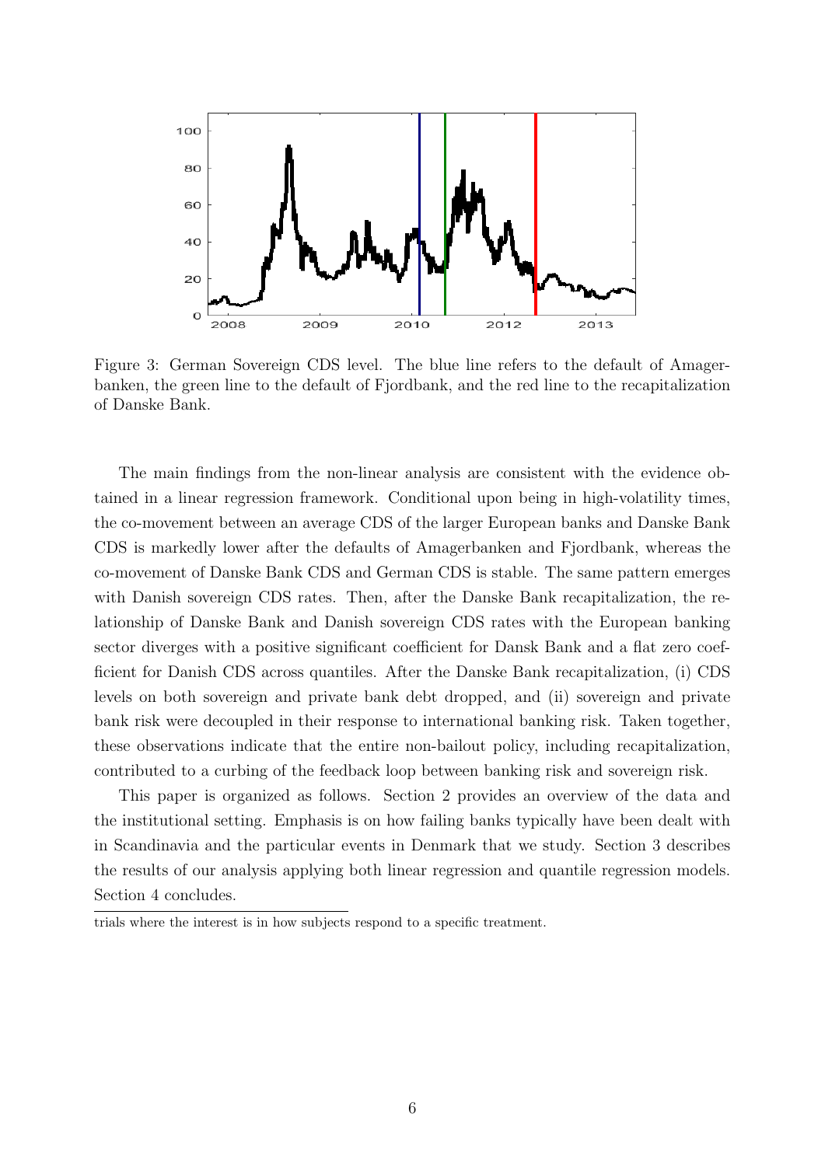

Figure 3: German Sovereign CDS level. The blue line refers to the default of Amagerbanken, the green line to the default of Fjordbank, and the red line to the recapitalization of Danske Bank.

The main findings from the non-linear analysis are consistent with the evidence obtained in a linear regression framework. Conditional upon being in high-volatility times, the co-movement between an average CDS of the larger European banks and Danske Bank CDS is markedly lower after the defaults of Amagerbanken and Fjordbank, whereas the co-movement of Danske Bank CDS and German CDS is stable. The same pattern emerges with Danish sovereign CDS rates. Then, after the Danske Bank recapitalization, the relationship of Danske Bank and Danish sovereign CDS rates with the European banking sector diverges with a positive significant coefficient for Dansk Bank and a flat zero coefficient for Danish CDS across quantiles. After the Danske Bank recapitalization, (i) CDS levels on both sovereign and private bank debt dropped, and (ii) sovereign and private bank risk were decoupled in their response to international banking risk. Taken together, these observations indicate that the entire non-bailout policy, including recapitalization, contributed to a curbing of the feedback loop between banking risk and sovereign risk.

This paper is organized as follows. Section 2 provides an overview of the data and the institutional setting. Emphasis is on how failing banks typically have been dealt with in Scandinavia and the particular events in Denmark that we study. Section 3 describes the results of our analysis applying both linear regression and quantile regression models. Section 4 concludes.

trials where the interest is in how subjects respond to a specific treatment.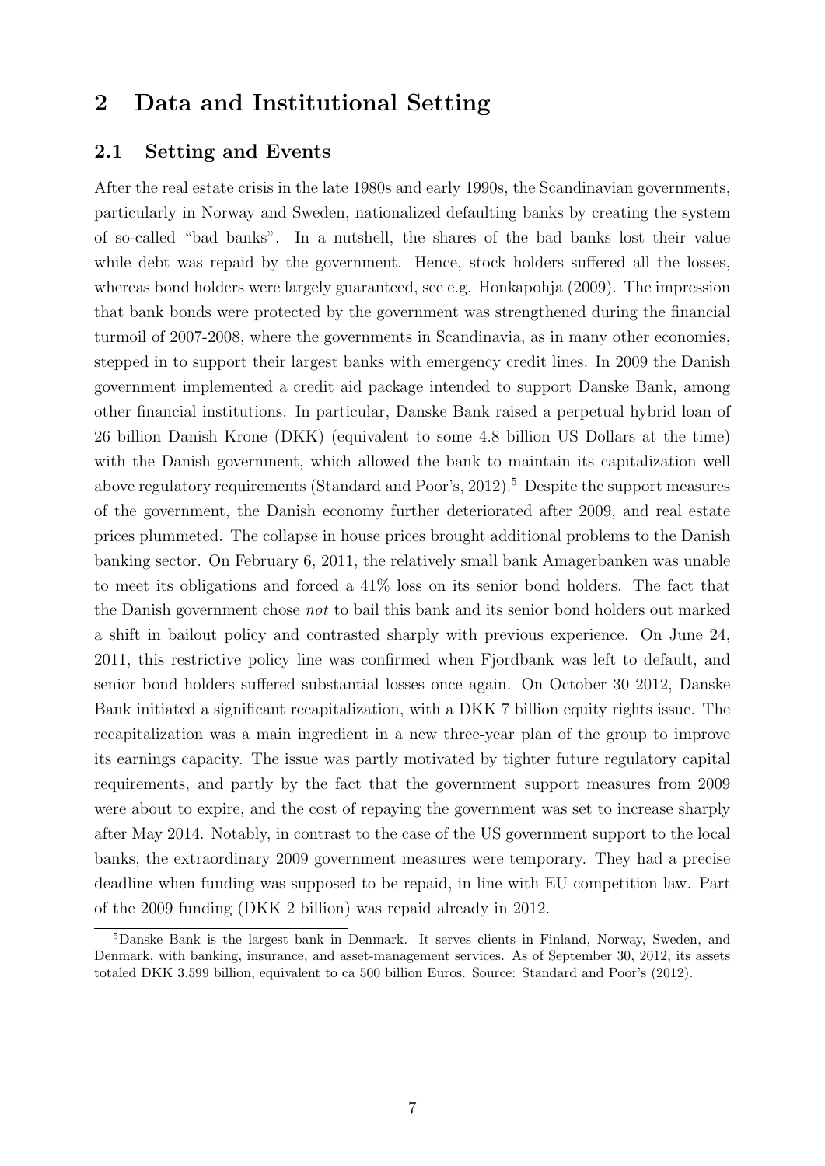### 2 Data and Institutional Setting

#### 2.1 Setting and Events

After the real estate crisis in the late 1980s and early 1990s, the Scandinavian governments, particularly in Norway and Sweden, nationalized defaulting banks by creating the system of so-called "bad banks". In a nutshell, the shares of the bad banks lost their value while debt was repaid by the government. Hence, stock holders suffered all the losses, whereas bond holders were largely guaranteed, see e.g. Honkapohja (2009). The impression that bank bonds were protected by the government was strengthened during the financial turmoil of 2007-2008, where the governments in Scandinavia, as in many other economies, stepped in to support their largest banks with emergency credit lines. In 2009 the Danish government implemented a credit aid package intended to support Danske Bank, among other financial institutions. In particular, Danske Bank raised a perpetual hybrid loan of 26 billion Danish Krone (DKK) (equivalent to some 4.8 billion US Dollars at the time) with the Danish government, which allowed the bank to maintain its capitalization well above regulatory requirements (Standard and Poor's,  $2012$ ).<sup>5</sup> Despite the support measures of the government, the Danish economy further deteriorated after 2009, and real estate prices plummeted. The collapse in house prices brought additional problems to the Danish banking sector. On February 6, 2011, the relatively small bank Amagerbanken was unable to meet its obligations and forced a  $41\%$  loss on its senior bond holders. The fact that the Danish government chose not to bail this bank and its senior bond holders out marked a shift in bailout policy and contrasted sharply with previous experience. On June 24, 2011, this restrictive policy line was confirmed when Fjordbank was left to default, and senior bond holders suffered substantial losses once again. On October 30 2012, Danske Bank initiated a significant recapitalization, with a DKK 7 billion equity rights issue. The recapitalization was a main ingredient in a new three-year plan of the group to improve its earnings capacity. The issue was partly motivated by tighter future regulatory capital requirements, and partly by the fact that the government support measures from 2009 were about to expire, and the cost of repaying the government was set to increase sharply after May 2014. Notably, in contrast to the case of the US government support to the local banks, the extraordinary 2009 government measures were temporary. They had a precise deadline when funding was supposed to be repaid, in line with EU competition law. Part of the 2009 funding (DKK 2 billion) was repaid already in 2012.

<sup>5</sup>Danske Bank is the largest bank in Denmark. It serves clients in Finland, Norway, Sweden, and Denmark, with banking, insurance, and asset-management services. As of September 30, 2012, its assets totaled DKK 3.599 billion, equivalent to ca 500 billion Euros. Source: Standard and Poor's (2012).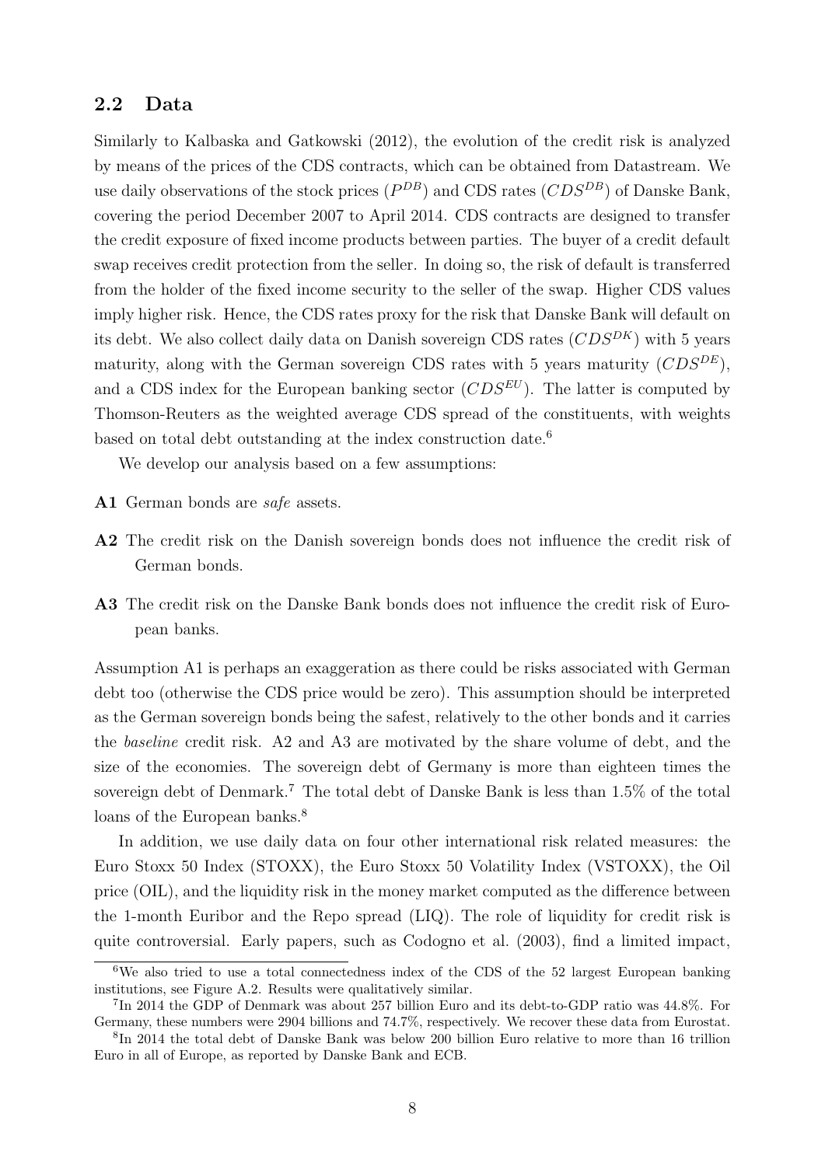#### 2.2 Data

Similarly to Kalbaska and Gatkowski (2012), the evolution of the credit risk is analyzed by means of the prices of the CDS contracts, which can be obtained from Datastream. We use daily observations of the stock prices  $(P^{DB})$  and CDS rates  $(CDS^{DB})$  of Danske Bank, covering the period December 2007 to April 2014. CDS contracts are designed to transfer the credit exposure of fixed income products between parties. The buyer of a credit default swap receives credit protection from the seller. In doing so, the risk of default is transferred from the holder of the fixed income security to the seller of the swap. Higher CDS values imply higher risk. Hence, the CDS rates proxy for the risk that Danske Bank will default on its debt. We also collect daily data on Danish sovereign CDS rates  $(CDS^{DK})$  with 5 years maturity, along with the German sovereign CDS rates with 5 years maturity  $(CDS^{DE})$ , and a CDS index for the European banking sector  $(CDS^{EU})$ . The latter is computed by Thomson-Reuters as the weighted average CDS spread of the constituents, with weights based on total debt outstanding at the index construction date.<sup>6</sup>

We develop our analysis based on a few assumptions:

- A1 German bonds are *safe* assets.
- A2 The credit risk on the Danish sovereign bonds does not influence the credit risk of German bonds.
- A3 The credit risk on the Danske Bank bonds does not influence the credit risk of European banks.

Assumption A1 is perhaps an exaggeration as there could be risks associated with German debt too (otherwise the CDS price would be zero). This assumption should be interpreted as the German sovereign bonds being the safest, relatively to the other bonds and it carries the baseline credit risk. A2 and A3 are motivated by the share volume of debt, and the size of the economies. The sovereign debt of Germany is more than eighteen times the sovereign debt of Denmark.<sup>7</sup> The total debt of Danske Bank is less than 1.5% of the total loans of the European banks.<sup>8</sup>

In addition, we use daily data on four other international risk related measures: the Euro Stoxx 50 Index (STOXX), the Euro Stoxx 50 Volatility Index (VSTOXX), the Oil price (OIL), and the liquidity risk in the money market computed as the difference between the 1-month Euribor and the Repo spread (LIQ). The role of liquidity for credit risk is quite controversial. Early papers, such as Codogno et al. (2003), find a limited impact,

<sup>&</sup>lt;sup>6</sup>We also tried to use a total connectedness index of the CDS of the 52 largest European banking institutions, see Figure A.2. Results were qualitatively similar.

<sup>7</sup> In 2014 the GDP of Denmark was about 257 billion Euro and its debt-to-GDP ratio was 44.8%. For Germany, these numbers were 2904 billions and 74.7%, respectively. We recover these data from Eurostat.

<sup>8</sup> In 2014 the total debt of Danske Bank was below 200 billion Euro relative to more than 16 trillion Euro in all of Europe, as reported by Danske Bank and ECB.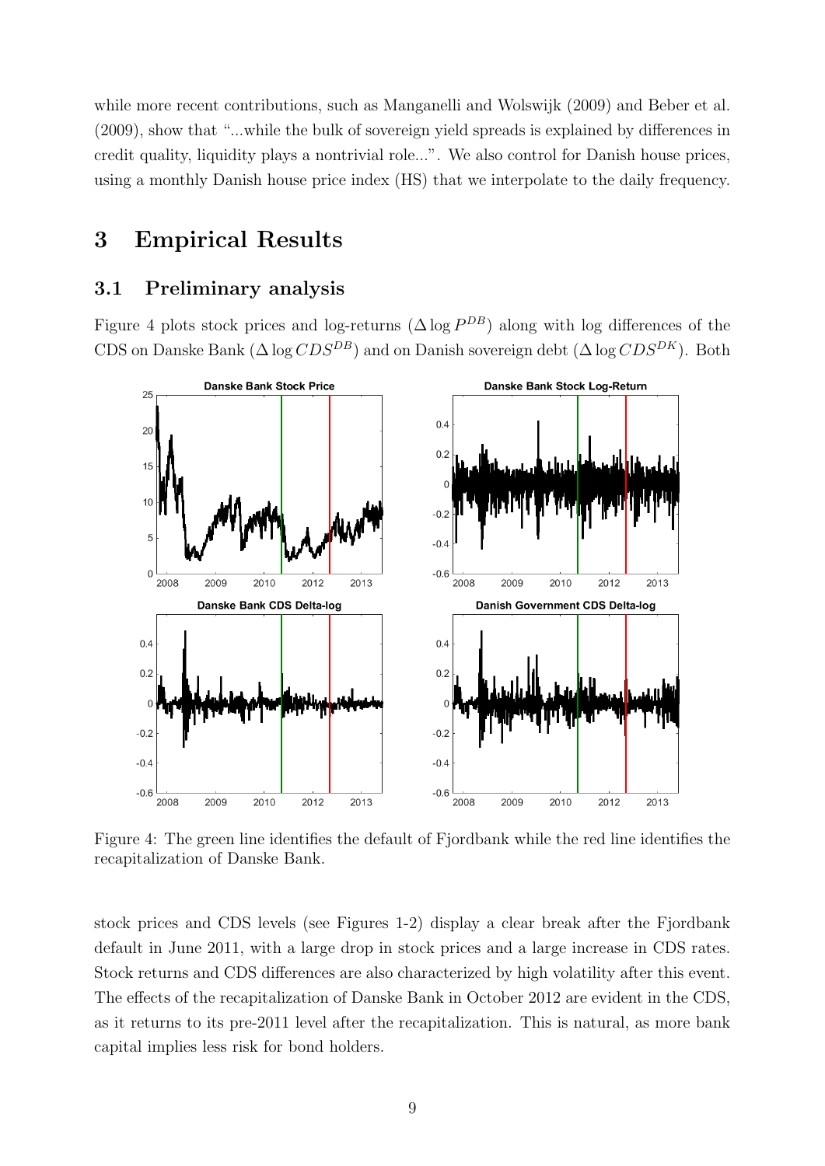while more recent contributions, such as Manganelli and Wolswijk (2009) and Beber et al. (2009), show that "...while the bulk of sovereign yield spreads is explained by differences in credit quality, liquidity plays a nontrivial role...". We also control for Danish house prices, using a monthly Danish house price index (HS) that we interpolate to the daily frequency.

### 3 Empirical Results

#### 3.1 Preliminary analysis

Figure 4 plots stock prices and log-returns  $(\Delta \log P^{DB})$  along with log differences of the CDS on Danske Bank ( $\Delta \log CDS^{DB}$ ) and on Danish sovereign debt ( $\Delta \log CDS^{DK}$ ). Both



Figure 4: The green line identifies the default of Fjordbank while the red line identifies the recapitalization of Danske Bank.

stock prices and CDS levels (see Figures 1-2) display a clear break after the Fjordbank default in June 2011, with a large drop in stock prices and a large increase in CDS rates. Stock returns and CDS differences are also characterized by high volatility after this event. The effects of the recapitalization of Danske Bank in October 2012 are evident in the CDS, as it returns to its pre-2011 level after the recapitalization. This is natural, as more bank capital implies less risk for bond holders.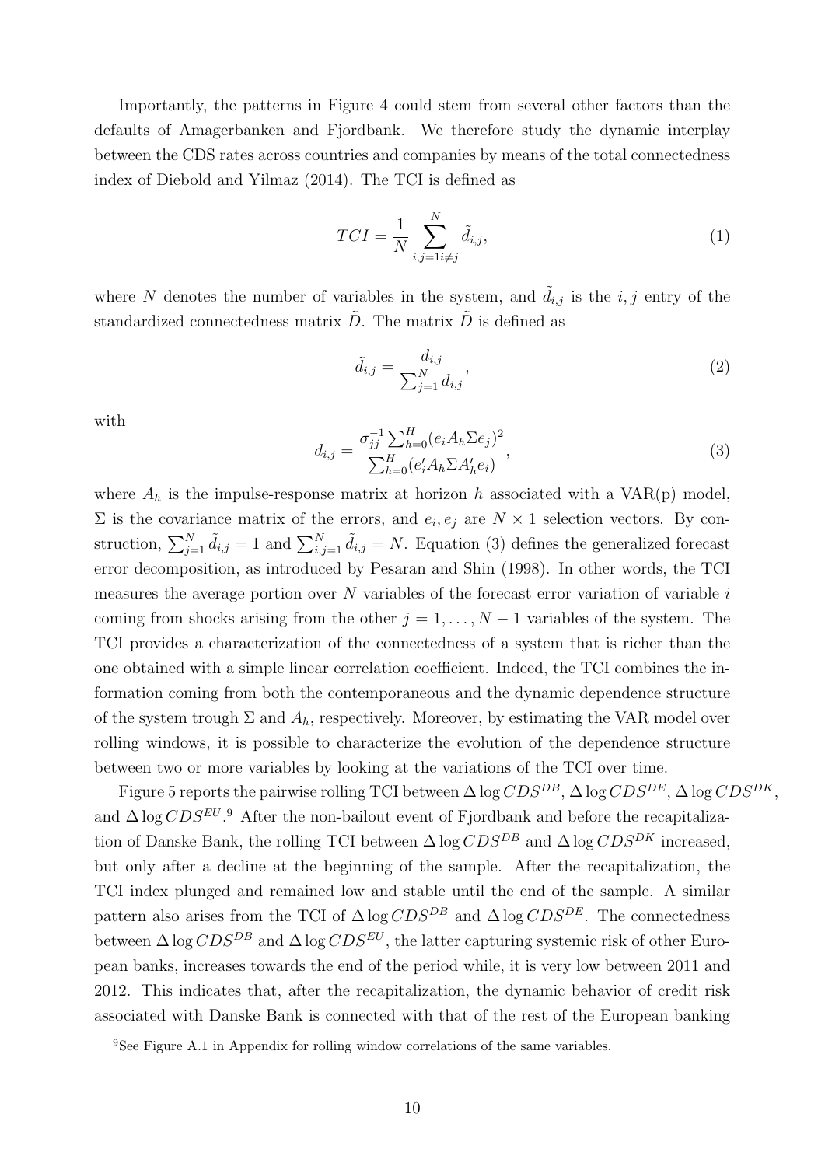Importantly, the patterns in Figure 4 could stem from several other factors than the defaults of Amagerbanken and Fjordbank. We therefore study the dynamic interplay between the CDS rates across countries and companies by means of the total connectedness index of Diebold and Yilmaz (2014). The TCI is defined as

$$
TCI = \frac{1}{N} \sum_{i,j=1i \neq j}^{N} \tilde{d}_{i,j},
$$
\n<sup>(1)</sup>

where N denotes the number of variables in the system, and  $\tilde{d}_{i,j}$  is the i, j entry of the standardized connectedness matrix  $\tilde{D}$ . The matrix  $\tilde{D}$  is defined as

$$
\tilde{d}_{i,j} = \frac{d_{i,j}}{\sum_{j=1}^{N} d_{i,j}},\tag{2}
$$

with

$$
d_{i,j} = \frac{\sigma_{jj}^{-1} \sum_{h=0}^{H} (e_i A_h \sum e_j)^2}{\sum_{h=0}^{H} (e'_i A_h \sum A'_h e_i)},
$$
\n(3)

where  $A_h$  is the impulse-response matrix at horizon h associated with a VAR(p) model,  $\Sigma$  is the covariance matrix of the errors, and  $e_i, e_j$  are  $N \times 1$  selection vectors. By construction,  $\sum_{j=1}^{N} \tilde{d}_{i,j} = 1$  and  $\sum_{i,j=1}^{N} \tilde{d}_{i,j} = N$ . Equation (3) defines the generalized forecast error decomposition, as introduced by Pesaran and Shin (1998). In other words, the TCI measures the average portion over  $N$  variables of the forecast error variation of variable  $i$ coming from shocks arising from the other  $j = 1, \ldots, N - 1$  variables of the system. The TCI provides a characterization of the connectedness of a system that is richer than the one obtained with a simple linear correlation coefficient. Indeed, the TCI combines the information coming from both the contemporaneous and the dynamic dependence structure of the system trough  $\Sigma$  and  $A_h$ , respectively. Moreover, by estimating the VAR model over rolling windows, it is possible to characterize the evolution of the dependence structure between two or more variables by looking at the variations of the TCI over time.

Figure 5 reports the pairwise rolling TCI between  $\Delta \log CDS^{DB}$ ,  $\Delta \log CDS^{DE}$ ,  $\Delta \log CDS^{DK}$ , and  $\Delta \log CDS^{EU}$ .<sup>9</sup> After the non-bailout event of Fjordbank and before the recapitalization of Danske Bank, the rolling TCI between  $\Delta \log CDS^{DB}$  and  $\Delta \log CDS^{DK}$  increased, but only after a decline at the beginning of the sample. After the recapitalization, the TCI index plunged and remained low and stable until the end of the sample. A similar pattern also arises from the TCI of  $\Delta \log CDS^{DB}$  and  $\Delta \log CDS^{DE}$ . The connectedness between  $\Delta \log CDS^{DB}$  and  $\Delta \log CDS^{EU}$ , the latter capturing systemic risk of other European banks, increases towards the end of the period while, it is very low between 2011 and 2012. This indicates that, after the recapitalization, the dynamic behavior of credit risk associated with Danske Bank is connected with that of the rest of the European banking

<sup>&</sup>lt;sup>9</sup>See Figure A.1 in Appendix for rolling window correlations of the same variables.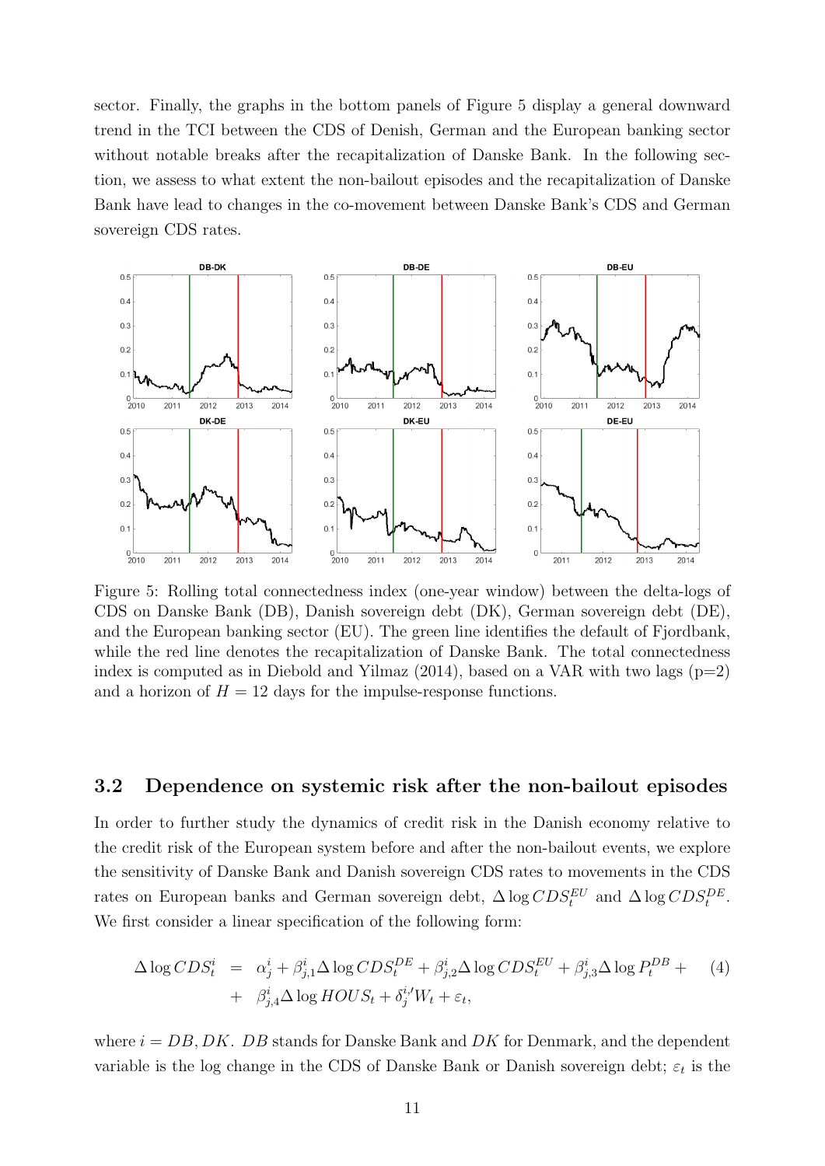sector. Finally, the graphs in the bottom panels of Figure 5 display a general downward trend in the TCI between the CDS of Denish, German and the European banking sector without notable breaks after the recapitalization of Danske Bank. In the following section, we assess to what extent the non-bailout episodes and the recapitalization of Danske Bank have lead to changes in the co-movement between Danske Bank's CDS and German sovereign CDS rates.



Figure 5: Rolling total connectedness index (one-year window) between the delta-logs of CDS on Danske Bank (DB), Danish sovereign debt (DK), German sovereign debt (DE), and the European banking sector (EU). The green line identifies the default of Fjordbank, while the red line denotes the recapitalization of Danske Bank. The total connectedness index is computed as in Diebold and Yilmaz  $(2014)$ , based on a VAR with two lags  $(p=2)$ and a horizon of  $H = 12$  days for the impulse-response functions.

#### 3.2 Dependence on systemic risk after the non-bailout episodes

In order to further study the dynamics of credit risk in the Danish economy relative to the credit risk of the European system before and after the non-bailout events, we explore the sensitivity of Danske Bank and Danish sovereign CDS rates to movements in the CDS rates on European banks and German sovereign debt,  $\Delta \log CDS_t^{EU}$  and  $\Delta \log CDS_t^{DE}$ . We first consider a linear specification of the following form:

$$
\Delta \log CDS_t^i = \alpha_j^i + \beta_{j,1}^i \Delta \log CDS_t^{DE} + \beta_{j,2}^i \Delta \log CDS_t^{EU} + \beta_{j,3}^i \Delta \log P_t^{DB} + \beta_{j,4}^i \Delta \log HOUS_t + \beta_j^i W_t + \varepsilon_t,
$$
\n(4)

where  $i = DB, DK$ . DB stands for Danske Bank and DK for Denmark, and the dependent variable is the log change in the CDS of Danske Bank or Danish sovereign debt;  $\varepsilon_t$  is the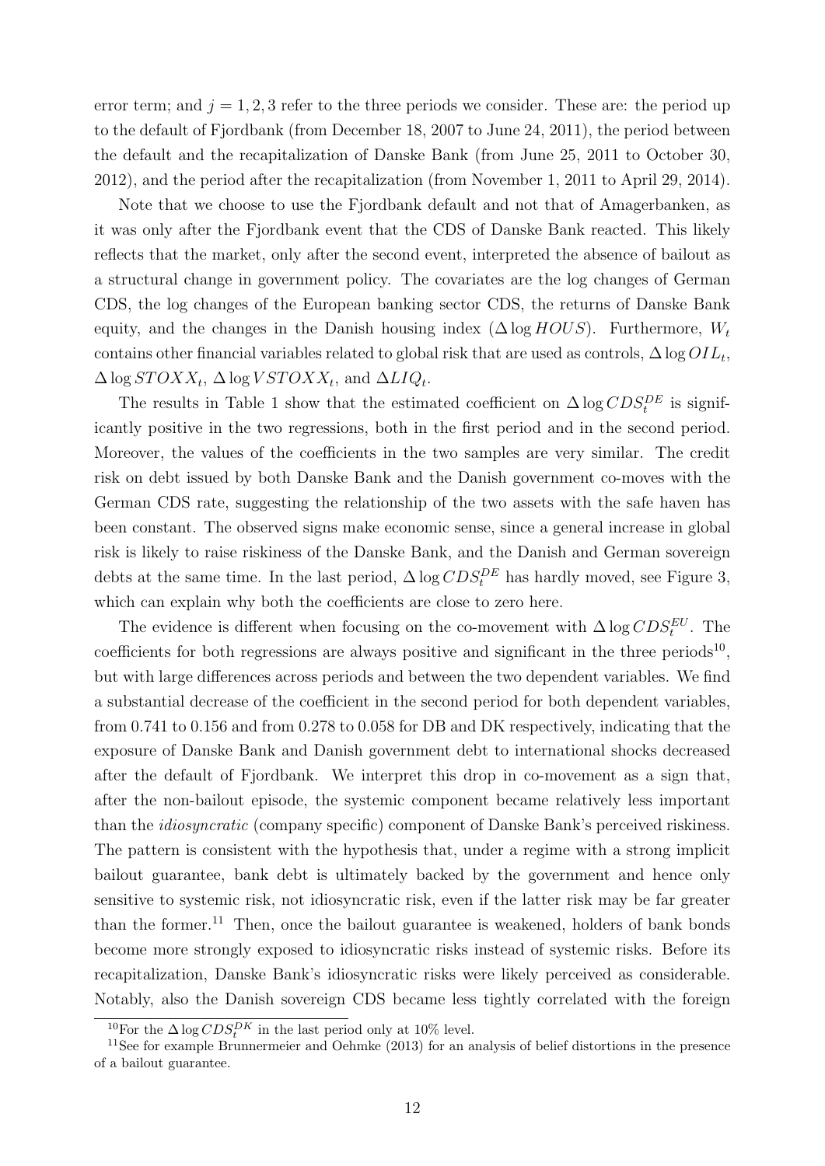error term; and  $j = 1, 2, 3$  refer to the three periods we consider. These are: the period up to the default of Fjordbank (from December 18, 2007 to June 24, 2011), the period between the default and the recapitalization of Danske Bank (from June 25, 2011 to October 30, 2012), and the period after the recapitalization (from November 1, 2011 to April 29, 2014).

Note that we choose to use the Fjordbank default and not that of Amagerbanken, as it was only after the Fjordbank event that the CDS of Danske Bank reacted. This likely reflects that the market, only after the second event, interpreted the absence of bailout as a structural change in government policy. The covariates are the log changes of German CDS, the log changes of the European banking sector CDS, the returns of Danske Bank equity, and the changes in the Danish housing index ( $\Delta \log HOUS$ ). Furthermore,  $W_t$ contains other financial variables related to global risk that are used as controls,  $\Delta \log OIL_t$ ,  $\Delta \log STOXX_t, \, \Delta \log VSTOXX_t, \, \text{and} \, \, \Delta LIQ_t.$ 

The results in Table 1 show that the estimated coefficient on  $\Delta \log CDS_t^{DE}$  is significantly positive in the two regressions, both in the first period and in the second period. Moreover, the values of the coefficients in the two samples are very similar. The credit risk on debt issued by both Danske Bank and the Danish government co-moves with the German CDS rate, suggesting the relationship of the two assets with the safe haven has been constant. The observed signs make economic sense, since a general increase in global risk is likely to raise riskiness of the Danske Bank, and the Danish and German sovereign debts at the same time. In the last period,  $\Delta \log CDS_t^{DE}$  has hardly moved, see Figure 3, which can explain why both the coefficients are close to zero here.

The evidence is different when focusing on the co-movement with  $\Delta \log CDS_t^{EU}$ . The coefficients for both regressions are always positive and significant in the three periods<sup>10</sup>, but with large differences across periods and between the two dependent variables. We find a substantial decrease of the coefficient in the second period for both dependent variables, from 0.741 to 0.156 and from 0.278 to 0.058 for DB and DK respectively, indicating that the exposure of Danske Bank and Danish government debt to international shocks decreased after the default of Fjordbank. We interpret this drop in co-movement as a sign that, after the non-bailout episode, the systemic component became relatively less important than the idiosyncratic (company specific) component of Danske Bank's perceived riskiness. The pattern is consistent with the hypothesis that, under a regime with a strong implicit bailout guarantee, bank debt is ultimately backed by the government and hence only sensitive to systemic risk, not idiosyncratic risk, even if the latter risk may be far greater than the former.<sup>11</sup> Then, once the bailout guarantee is weakened, holders of bank bonds become more strongly exposed to idiosyncratic risks instead of systemic risks. Before its recapitalization, Danske Bank's idiosyncratic risks were likely perceived as considerable. Notably, also the Danish sovereign CDS became less tightly correlated with the foreign

<sup>&</sup>lt;sup>10</sup>For the  $\Delta \log CDS_t^{DK}$  in the last period only at 10% level.

<sup>11</sup>See for example Brunnermeier and Oehmke (2013) for an analysis of belief distortions in the presence of a bailout guarantee.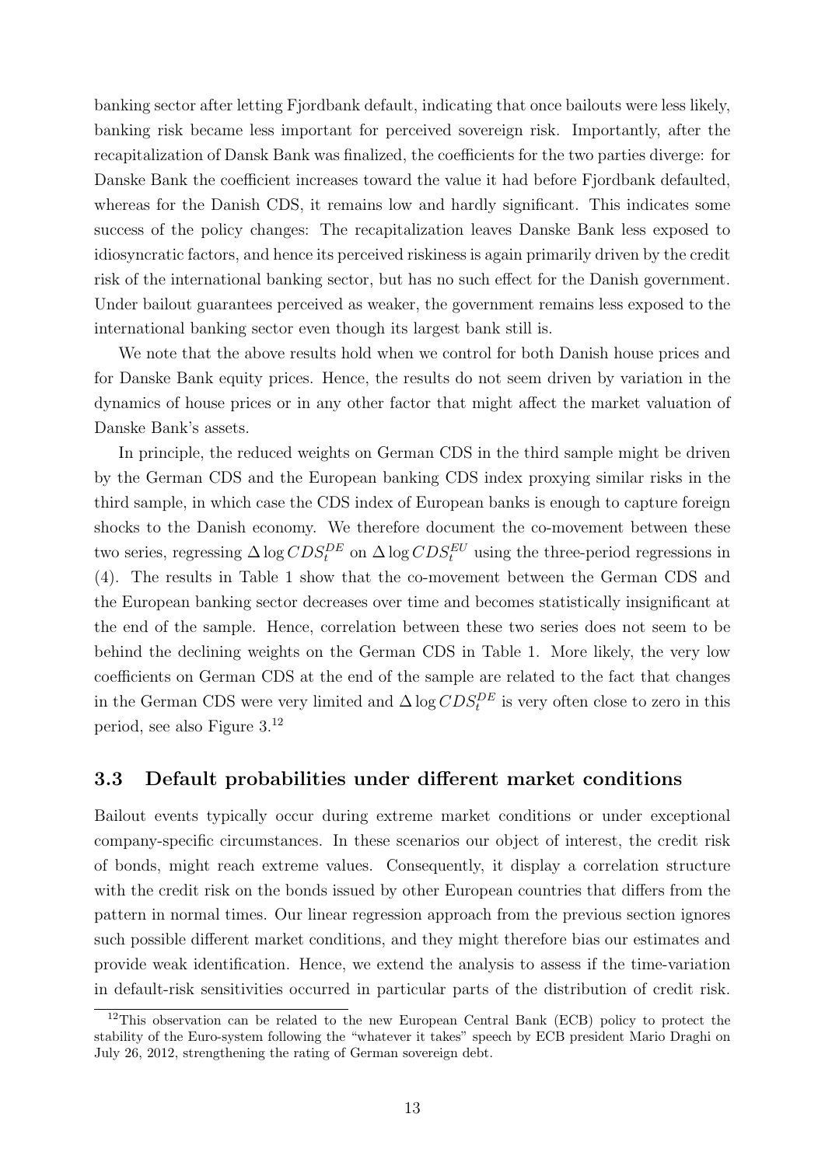banking sector after letting Fjordbank default, indicating that once bailouts were less likely, banking risk became less important for perceived sovereign risk. Importantly, after the recapitalization of Dansk Bank was finalized, the coefficients for the two parties diverge: for Danske Bank the coefficient increases toward the value it had before Fjordbank defaulted, whereas for the Danish CDS, it remains low and hardly significant. This indicates some success of the policy changes: The recapitalization leaves Danske Bank less exposed to idiosyncratic factors, and hence its perceived riskiness is again primarily driven by the credit risk of the international banking sector, but has no such effect for the Danish government. Under bailout guarantees perceived as weaker, the government remains less exposed to the international banking sector even though its largest bank still is.

We note that the above results hold when we control for both Danish house prices and for Danske Bank equity prices. Hence, the results do not seem driven by variation in the dynamics of house prices or in any other factor that might affect the market valuation of Danske Bank's assets.

In principle, the reduced weights on German CDS in the third sample might be driven by the German CDS and the European banking CDS index proxying similar risks in the third sample, in which case the CDS index of European banks is enough to capture foreign shocks to the Danish economy. We therefore document the co-movement between these two series, regressing  $\Delta \log CDS_t^{DE}$  on  $\Delta \log CDS_t^{EU}$  using the three-period regressions in (4). The results in Table 1 show that the co-movement between the German CDS and the European banking sector decreases over time and becomes statistically insignificant at the end of the sample. Hence, correlation between these two series does not seem to be behind the declining weights on the German CDS in Table 1. More likely, the very low coefficients on German CDS at the end of the sample are related to the fact that changes in the German CDS were very limited and  $\Delta \log CDS_t^{DE}$  is very often close to zero in this period, see also Figure 3.<sup>12</sup>

#### 3.3 Default probabilities under different market conditions

Bailout events typically occur during extreme market conditions or under exceptional company-specific circumstances. In these scenarios our object of interest, the credit risk of bonds, might reach extreme values. Consequently, it display a correlation structure with the credit risk on the bonds issued by other European countries that differs from the pattern in normal times. Our linear regression approach from the previous section ignores such possible different market conditions, and they might therefore bias our estimates and provide weak identification. Hence, we extend the analysis to assess if the time-variation in default-risk sensitivities occurred in particular parts of the distribution of credit risk.

<sup>&</sup>lt;sup>12</sup>This observation can be related to the new European Central Bank (ECB) policy to protect the stability of the Euro-system following the "whatever it takes" speech by ECB president Mario Draghi on July 26, 2012, strengthening the rating of German sovereign debt.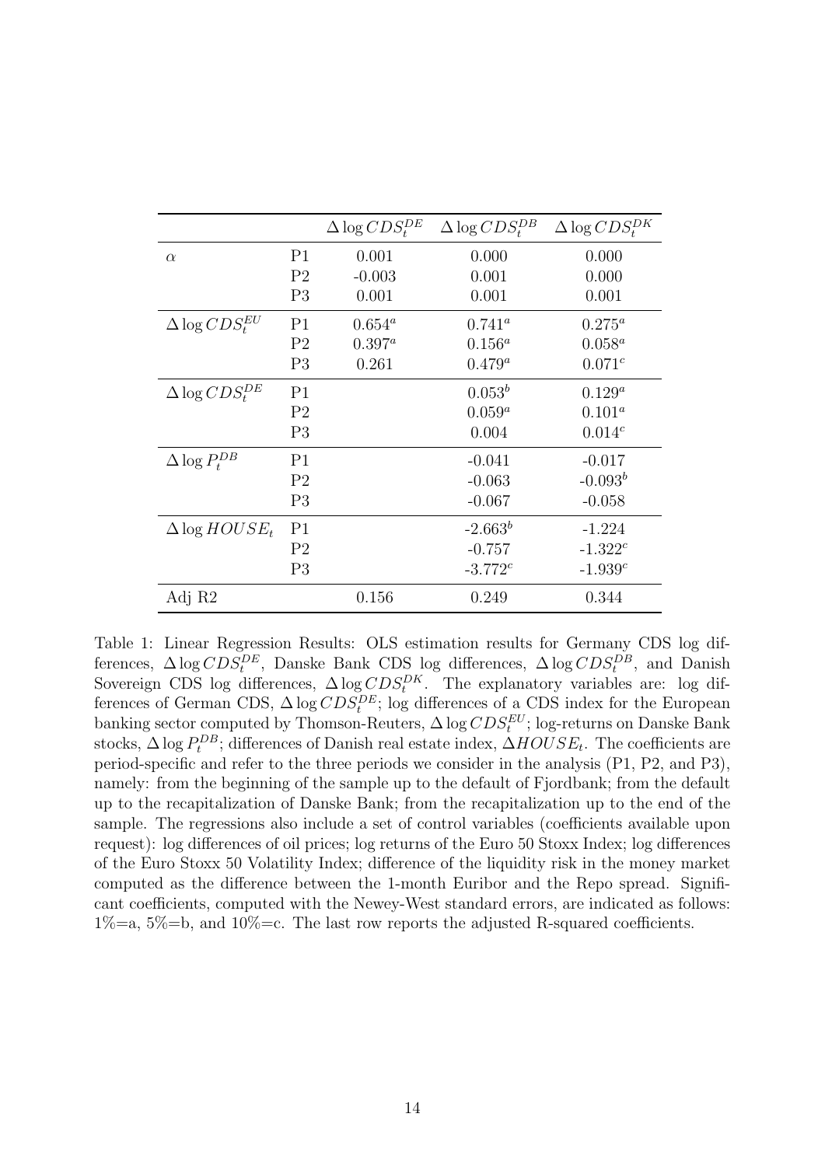|                            |                | $\Delta \log CDS_t^{DE}$ | $\Delta \log CDS_t^{DB}$ | $\Delta \log CDS_t^{DK}$ |
|----------------------------|----------------|--------------------------|--------------------------|--------------------------|
| $\alpha$                   | P <sub>1</sub> | 0.001                    | 0.000                    | 0.000                    |
|                            | P <sub>2</sub> | $-0.003$                 | 0.001                    | 0.000                    |
|                            | P <sub>3</sub> | 0.001                    | 0.001                    | 0.001                    |
| $\Delta \log CDS_t^{EU}$   | P <sub>1</sub> | $0.654^a$                | $0.741^a$                | $0.275^a$                |
|                            | P <sub>2</sub> | $0.397^a$                | $0.156^a$                | $0.058^a$                |
|                            | P <sub>3</sub> | 0.261                    | $0.479^a$                | $0.071^{c}$              |
| $\Delta \log CDS_{t}^{DE}$ | P <sub>1</sub> |                          | $0.053^b$                | $0.129^a$                |
|                            | P <sub>2</sub> |                          | $0.059^a$                | $0.101^a$                |
|                            | P3             |                          | 0.004                    | $0.014^{c}$              |
| $\Delta \log P_t^{DB}$     | P <sub>1</sub> |                          | $-0.041$                 | $-0.017$                 |
|                            | P <sub>2</sub> |                          | $-0.063$                 | $-0.093b$                |
|                            | P <sub>3</sub> |                          | $-0.067$                 | $-0.058$                 |
| $\Delta$ log $HOUSE_t$     | P <sub>1</sub> |                          | $-2.663^b$               | $-1.224$                 |
|                            | P <sub>2</sub> |                          | $-0.757$                 | $-1.322c$                |
|                            | P <sub>3</sub> |                          | $-3.772c$                | $-1.939c$                |
| Adj R2                     |                | 0.156                    | 0.249                    | 0.344                    |

Table 1: Linear Regression Results: OLS estimation results for Germany CDS log differences,  $\Delta \log CDS_t^{DE}$ , Danske Bank CDS log differences,  $\Delta \log CDS_t^{DB}$ , and Danish Sovereign CDS log differences,  $\Delta \log CDS_t^{DK}$ . The explanatory variables are: log differences of German CDS,  $\Delta \log CDS_t^{DE}$ ; log differences of a CDS index for the European banking sector computed by Thomson-Reuters,  $\Delta \log CDS_t^{EU}$ ; log-returns on Danske Bank stocks,  $\Delta \log P_t^{DB}$ ; differences of Danish real estate index,  $\Delta HOUSE_t$ . The coefficients are period-specific and refer to the three periods we consider in the analysis (P1, P2, and P3), namely: from the beginning of the sample up to the default of Fjordbank; from the default up to the recapitalization of Danske Bank; from the recapitalization up to the end of the sample. The regressions also include a set of control variables (coefficients available upon request): log differences of oil prices; log returns of the Euro 50 Stoxx Index; log differences of the Euro Stoxx 50 Volatility Index; difference of the liquidity risk in the money market computed as the difference between the 1-month Euribor and the Repo spread. Significant coefficients, computed with the Newey-West standard errors, are indicated as follows:  $1\% = a$ ,  $5\% = b$ , and  $10\% = c$ . The last row reports the adjusted R-squared coefficients.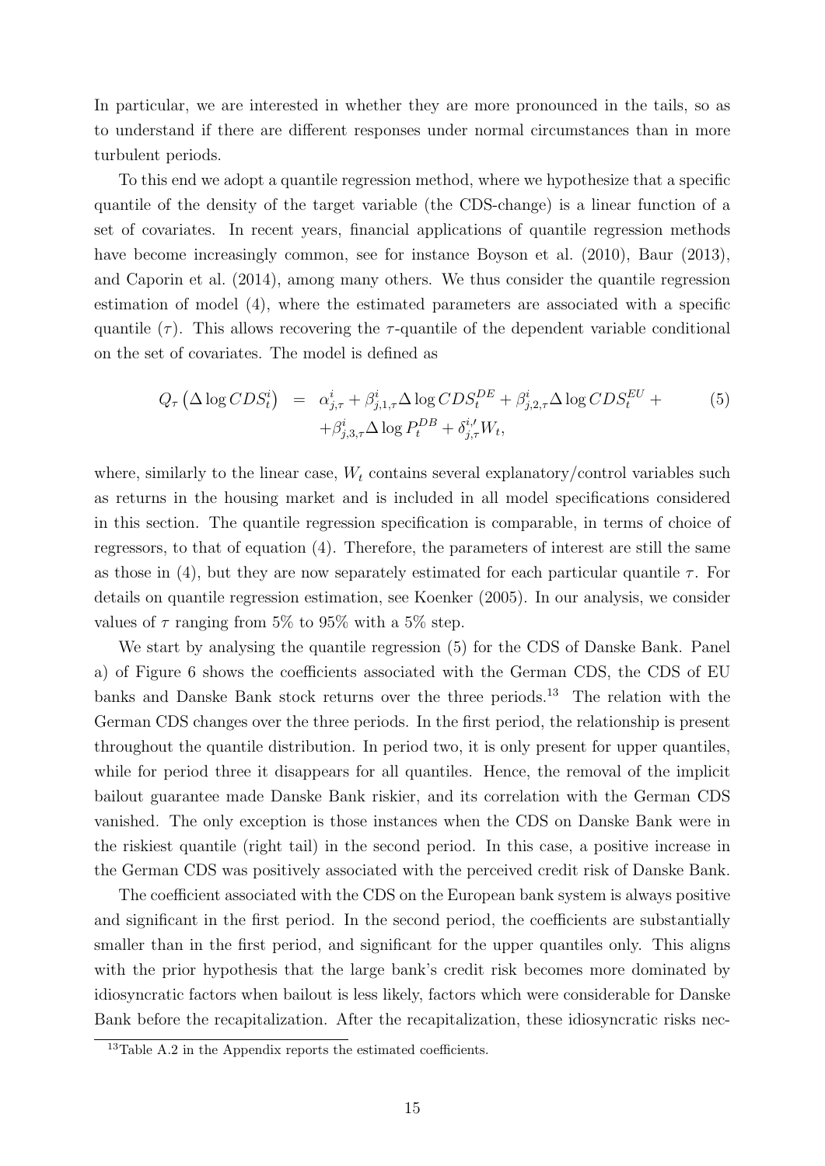In particular, we are interested in whether they are more pronounced in the tails, so as to understand if there are different responses under normal circumstances than in more turbulent periods.

To this end we adopt a quantile regression method, where we hypothesize that a specific quantile of the density of the target variable (the CDS-change) is a linear function of a set of covariates. In recent years, financial applications of quantile regression methods have become increasingly common, see for instance Boyson et al. (2010), Baur (2013), and Caporin et al. (2014), among many others. We thus consider the quantile regression estimation of model (4), where the estimated parameters are associated with a specific quantile  $(\tau)$ . This allows recovering the  $\tau$ -quantile of the dependent variable conditional on the set of covariates. The model is defined as

$$
Q_{\tau} \left( \Delta \log CDS_t^i \right) = \alpha_{j,\tau}^i + \beta_{j,1,\tau}^i \Delta \log CDS_t^{DE} + \beta_{j,2,\tau}^i \Delta \log CDS_t^{EU} +
$$
  
 
$$
+ \beta_{j,3,\tau}^i \Delta \log P_t^{DB} + \delta_{j,\tau}^{i,\prime} W_t,
$$
 (5)

where, similarly to the linear case,  $W_t$  contains several explanatory/control variables such as returns in the housing market and is included in all model specifications considered in this section. The quantile regression specification is comparable, in terms of choice of regressors, to that of equation (4). Therefore, the parameters of interest are still the same as those in (4), but they are now separately estimated for each particular quantile  $\tau$ . For details on quantile regression estimation, see Koenker (2005). In our analysis, we consider values of  $\tau$  ranging from 5% to 95% with a 5% step.

We start by analysing the quantile regression (5) for the CDS of Danske Bank. Panel a) of Figure 6 shows the coefficients associated with the German CDS, the CDS of EU banks and Danske Bank stock returns over the three periods.<sup>13</sup> The relation with the German CDS changes over the three periods. In the first period, the relationship is present throughout the quantile distribution. In period two, it is only present for upper quantiles, while for period three it disappears for all quantiles. Hence, the removal of the implicit bailout guarantee made Danske Bank riskier, and its correlation with the German CDS vanished. The only exception is those instances when the CDS on Danske Bank were in the riskiest quantile (right tail) in the second period. In this case, a positive increase in the German CDS was positively associated with the perceived credit risk of Danske Bank.

The coefficient associated with the CDS on the European bank system is always positive and significant in the first period. In the second period, the coefficients are substantially smaller than in the first period, and significant for the upper quantiles only. This aligns with the prior hypothesis that the large bank's credit risk becomes more dominated by idiosyncratic factors when bailout is less likely, factors which were considerable for Danske Bank before the recapitalization. After the recapitalization, these idiosyncratic risks nec-

 $13$ Table A.2 in the Appendix reports the estimated coefficients.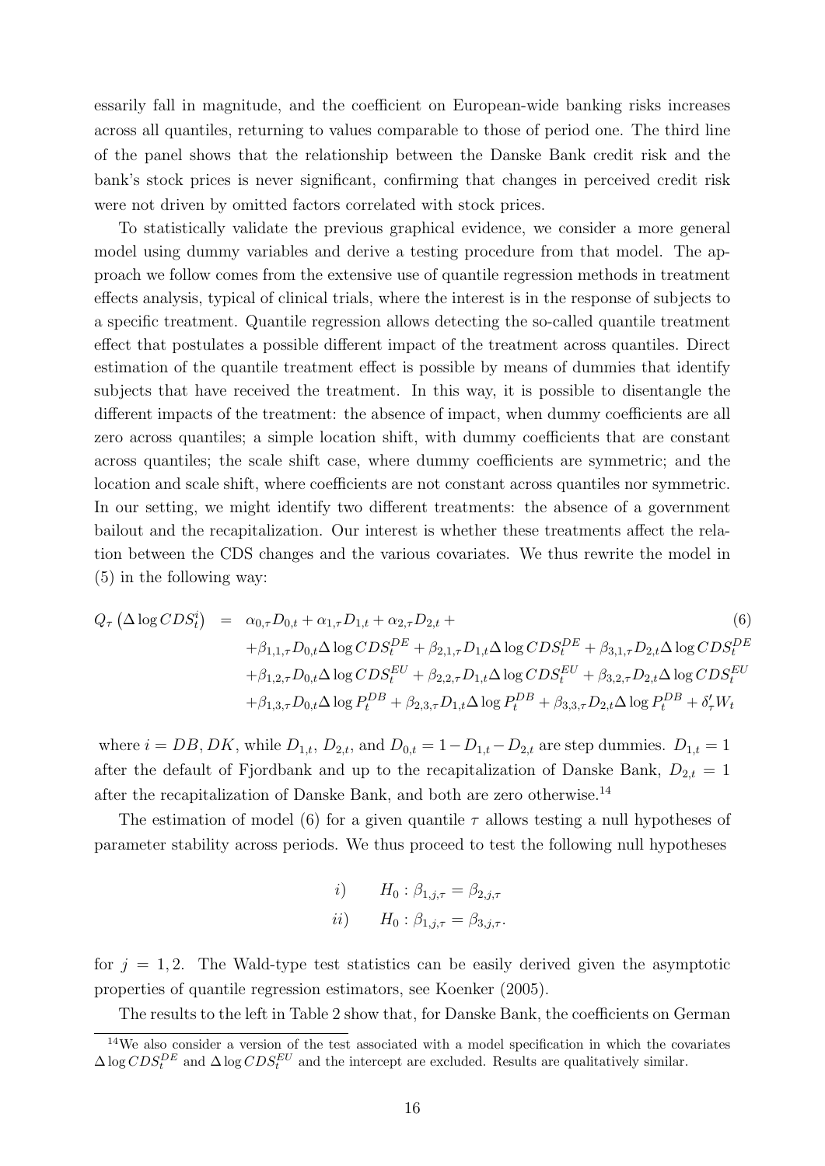essarily fall in magnitude, and the coefficient on European-wide banking risks increases across all quantiles, returning to values comparable to those of period one. The third line of the panel shows that the relationship between the Danske Bank credit risk and the bank's stock prices is never significant, confirming that changes in perceived credit risk were not driven by omitted factors correlated with stock prices.

To statistically validate the previous graphical evidence, we consider a more general model using dummy variables and derive a testing procedure from that model. The approach we follow comes from the extensive use of quantile regression methods in treatment effects analysis, typical of clinical trials, where the interest is in the response of subjects to a specific treatment. Quantile regression allows detecting the so-called quantile treatment effect that postulates a possible different impact of the treatment across quantiles. Direct estimation of the quantile treatment effect is possible by means of dummies that identify subjects that have received the treatment. In this way, it is possible to disentangle the different impacts of the treatment: the absence of impact, when dummy coefficients are all zero across quantiles; a simple location shift, with dummy coefficients that are constant across quantiles; the scale shift case, where dummy coefficients are symmetric; and the location and scale shift, where coefficients are not constant across quantiles nor symmetric. In our setting, we might identify two different treatments: the absence of a government bailout and the recapitalization. Our interest is whether these treatments affect the relation between the CDS changes and the various covariates. We thus rewrite the model in (5) in the following way:

$$
Q_{\tau} (\Delta \log CDS_t^i) = \alpha_{0,\tau} D_{0,t} + \alpha_{1,\tau} D_{1,t} + \alpha_{2,\tau} D_{2,t} +
$$
  
\n
$$
+ \beta_{1,1,\tau} D_{0,t} \Delta \log CDS_t^{DE} + \beta_{2,1,\tau} D_{1,t} \Delta \log CDS_t^{DE} + \beta_{3,1,\tau} D_{2,t} \Delta \log CDS_t^{DE}
$$
  
\n
$$
+ \beta_{1,2,\tau} D_{0,t} \Delta \log CDS_t^{EU} + \beta_{2,2,\tau} D_{1,t} \Delta \log CDS_t^{EU} + \beta_{3,2,\tau} D_{2,t} \Delta \log CDS_t^{EU}
$$
  
\n
$$
+ \beta_{1,3,\tau} D_{0,t} \Delta \log P_t^{DB} + \beta_{2,3,\tau} D_{1,t} \Delta \log P_t^{DB} + \beta_{3,3,\tau} D_{2,t} \Delta \log P_t^{DB} + \delta_{\tau}^{\prime} W_t
$$

where  $i = DB, DK$ , while  $D_{1,t}$ ,  $D_{2,t}$ , and  $D_{0,t} = 1 - D_{1,t} - D_{2,t}$  are step dummies.  $D_{1,t} = 1$ after the default of Fjordbank and up to the recapitalization of Danske Bank,  $D_{2,t} = 1$ after the recapitalization of Danske Bank, and both are zero otherwise.<sup>14</sup>

The estimation of model (6) for a given quantile  $\tau$  allows testing a null hypotheses of parameter stability across periods. We thus proceed to test the following null hypotheses

*i*) 
$$
H_0: \beta_{1,j,\tau} = \beta_{2,j,\tau}
$$
  
*ii*)  $H_0: \beta_{1,j,\tau} = \beta_{3,j,\tau}$ .

for  $j = 1, 2$ . The Wald-type test statistics can be easily derived given the asymptotic properties of quantile regression estimators, see Koenker (2005).

The results to the left in Table 2 show that, for Danske Bank, the coefficients on German

<sup>&</sup>lt;sup>14</sup>We also consider a version of the test associated with a model specification in which the covariates  $\Delta \log CDS_t^{DE}$  and  $\Delta \log CDS_t^{EU}$  and the intercept are excluded. Results are qualitatively similar.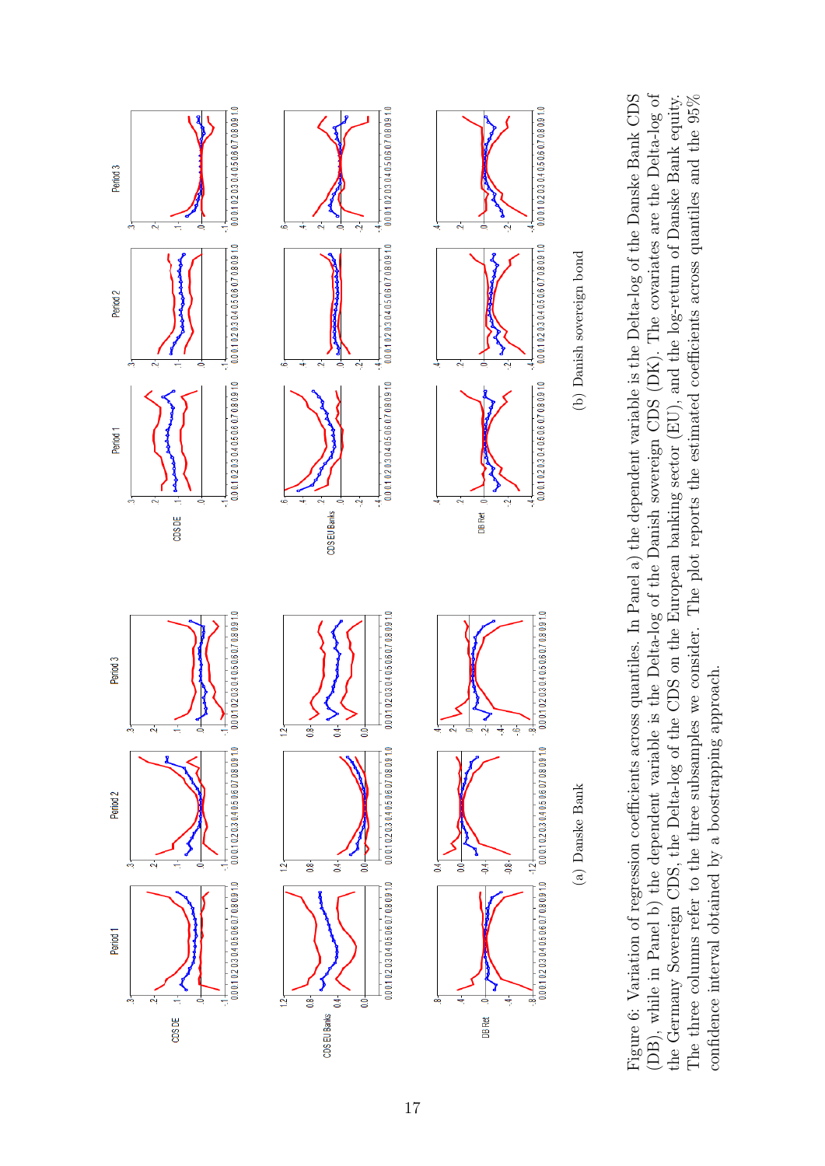

(DB), while in Panel b) the dependent variable is the Delta-log of the Danish sovereign CDS (DK). The covariates are the Delta-log of Figure 6: Variation of regression coefficients across quantiles. In Panel a) the dependent variable is the Delta-log of the Danske Bank CDS (DB), while in Panel b) the dependent variable is the Delta-log of the Danish sovereign CDS (DK). The covariates are the Delta-log of The three columns refer to the three subsamples we consider. The plot reports the estimated coefficients across quantiles and the  $95\%$ Figure 6: Variation of regression coefficients across quantiles. In Panel a) the dependent variable is the Delta-log of the Danske Bank CDS the Germany Sovereign CDS, the Delta-log of the CDS on the European banking sector (EU), and the log-return of Danske Bank equity. The three columns refer to the three subsamples we consider. The plot reports the estimated coefficients across quantiles and the 95% the Germany Sovereign CDS, the Delta-log of the CDS on the European banking sector (EU), and the log-return of Danske Bank equity. confidence interval obtained by a boostrapping approach. confidence interval obtained by a boostrapping approach.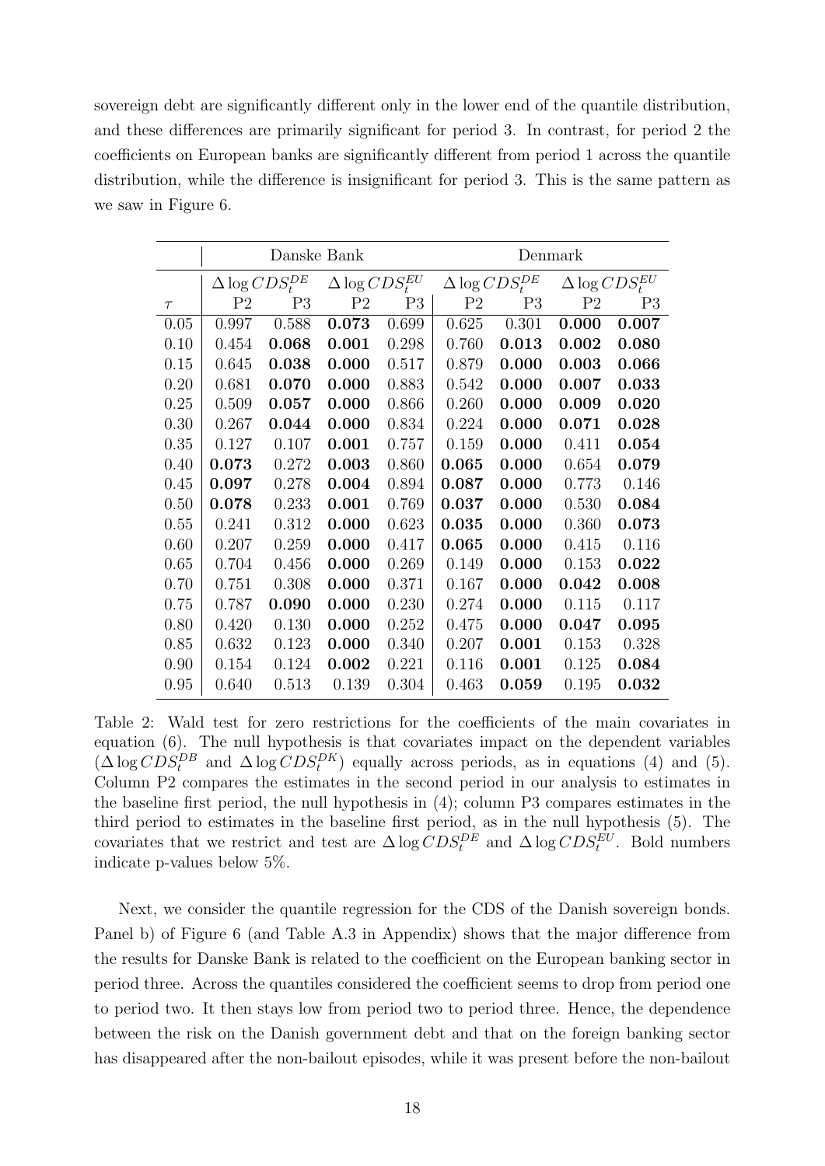sovereign debt are significantly different only in the lower end of the quantile distribution, and these differences are primarily significant for period 3. In contrast, for period 2 the coefficients on European banks are significantly different from period 1 across the quantile distribution, while the difference is insignificant for period 3. This is the same pattern as we saw in Figure 6.

|        |                | Danske Bank              |                          |       | Denmark        |                          |                |                          |  |  |  |  |
|--------|----------------|--------------------------|--------------------------|-------|----------------|--------------------------|----------------|--------------------------|--|--|--|--|
|        |                | $\Delta \log CDS_t^{DE}$ | $\Delta \log CDS_t^{EU}$ |       |                | $\Delta \log CDS_t^{DE}$ |                | $\Delta \log CDS_t^{EU}$ |  |  |  |  |
| $\tau$ | P <sub>2</sub> | P <sub>3</sub>           | P <sub>2</sub>           | P3    | P <sub>2</sub> | P <sub>3</sub>           | P <sub>2</sub> | P <sub>3</sub>           |  |  |  |  |
| 0.05   | 0.997          | 0.588                    | 0.073                    | 0.699 | 0.625          | 0.301                    | 0.000          | 0.007                    |  |  |  |  |
| 0.10   | 0.454          | 0.068                    | 0.001                    | 0.298 | 0.760          | 0.013                    | 0.002          | 0.080                    |  |  |  |  |
| 0.15   | 0.645          | 0.038                    | 0.000                    | 0.517 | 0.879          | 0.000                    | 0.003          | 0.066                    |  |  |  |  |
| 0.20   | 0.681          | 0.070                    | 0.000                    | 0.883 | 0.542          | 0.000                    | 0.007          | 0.033                    |  |  |  |  |
| 0.25   | 0.509          | 0.057                    | 0.000                    | 0.866 | 0.260          | 0.000                    | 0.009          | 0.020                    |  |  |  |  |
| 0.30   | 0.267          | 0.044                    | 0.000                    | 0.834 | 0.224          | 0.000                    | 0.071          | 0.028                    |  |  |  |  |
| 0.35   | 0.127          | 0.107                    | 0.001                    | 0.757 | 0.159          | 0.000                    | 0.411          | 0.054                    |  |  |  |  |
| 0.40   | 0.073          | 0.272                    | 0.003                    | 0.860 | 0.065          | 0.000                    | 0.654          | 0.079                    |  |  |  |  |
| 0.45   | 0.097          | 0.278                    | 0.004                    | 0.894 | 0.087          | 0.000                    | 0.773          | 0.146                    |  |  |  |  |
| 0.50   | 0.078          | 0.233                    | 0.001                    | 0.769 | 0.037          | 0.000                    | 0.530          | 0.084                    |  |  |  |  |
| 0.55   | 0.241          | 0.312                    | 0.000                    | 0.623 | 0.035          | 0.000                    | 0.360          | 0.073                    |  |  |  |  |
| 0.60   | 0.207          | 0.259                    | 0.000                    | 0.417 | 0.065          | 0.000                    | 0.415          | 0.116                    |  |  |  |  |
| 0.65   | 0.704          | 0.456                    | 0.000                    | 0.269 | 0.149          | 0.000                    | 0.153          | 0.022                    |  |  |  |  |
| 0.70   | 0.751          | 0.308                    | 0.000                    | 0.371 | 0.167          | 0.000                    | 0.042          | 0.008                    |  |  |  |  |
| 0.75   | 0.787          | 0.090                    | 0.000                    | 0.230 | 0.274          | 0.000                    | 0.115          | 0.117                    |  |  |  |  |
| 0.80   | 0.420          | 0.130                    | 0.000                    | 0.252 | 0.475          | 0.000                    | 0.047          | 0.095                    |  |  |  |  |
| 0.85   | 0.632          | 0.123                    | 0.000                    | 0.340 | 0.207          | 0.001                    | 0.153          | 0.328                    |  |  |  |  |
| 0.90   | 0.154          | 0.124                    | 0.002                    | 0.221 | 0.116          | 0.001                    | 0.125          | 0.084                    |  |  |  |  |
| 0.95   | 0.640          | 0.513                    | 0.139                    | 0.304 | 0.463          | 0.059                    | 0.195          | 0.032                    |  |  |  |  |

Table 2: Wald test for zero restrictions for the coefficients of the main covariates in equation (6). The null hypothesis is that covariates impact on the dependent variables  $(\Delta \log CDS_t^{DB}$  and  $\Delta \log CDS_t^{DK})$  equally across periods, as in equations (4) and (5). Column P2 compares the estimates in the second period in our analysis to estimates in the baseline first period, the null hypothesis in (4); column P3 compares estimates in the third period to estimates in the baseline first period, as in the null hypothesis (5). The covariates that we restrict and test are  $\Delta \log CDS_t^{DE}$  and  $\Delta \log CDS_t^{EU}$ . Bold numbers indicate p-values below 5%.

Next, we consider the quantile regression for the CDS of the Danish sovereign bonds. Panel b) of Figure 6 (and Table A.3 in Appendix) shows that the major difference from the results for Danske Bank is related to the coefficient on the European banking sector in period three. Across the quantiles considered the coefficient seems to drop from period one to period two. It then stays low from period two to period three. Hence, the dependence between the risk on the Danish government debt and that on the foreign banking sector has disappeared after the non-bailout episodes, while it was present before the non-bailout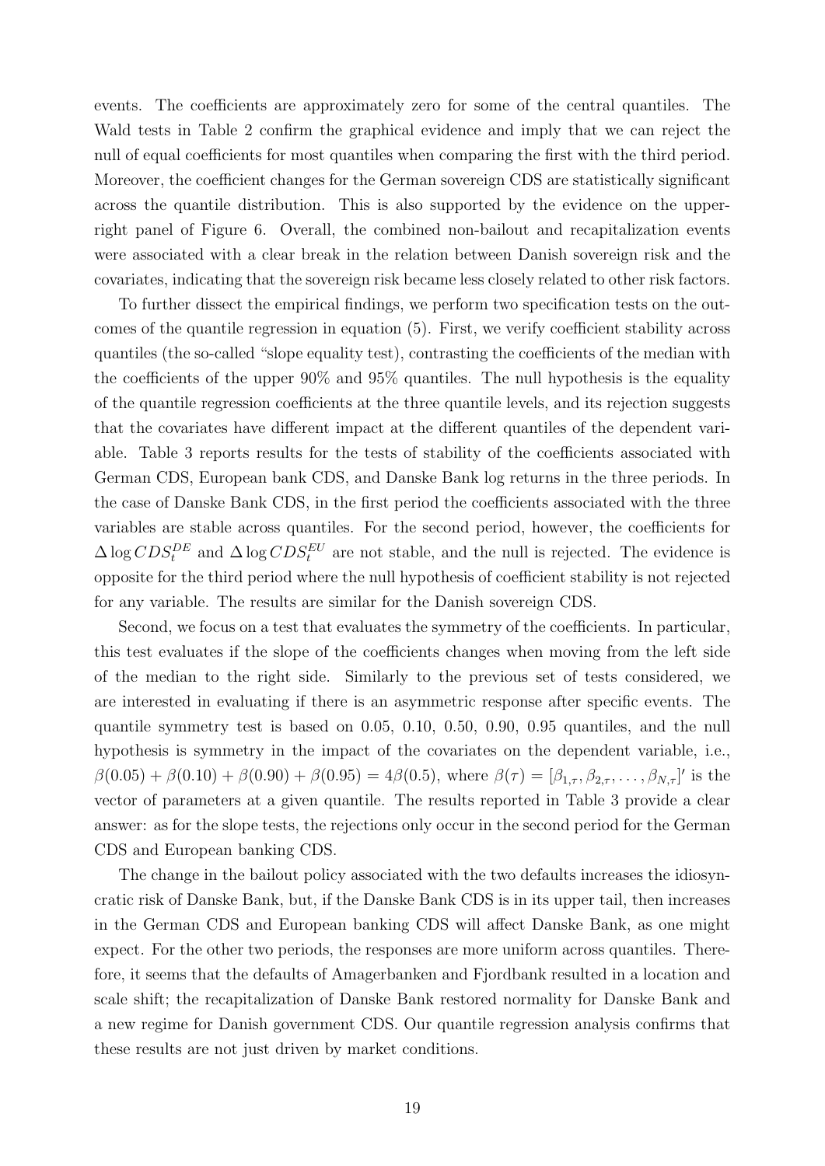events. The coefficients are approximately zero for some of the central quantiles. The Wald tests in Table 2 confirm the graphical evidence and imply that we can reject the null of equal coefficients for most quantiles when comparing the first with the third period. Moreover, the coefficient changes for the German sovereign CDS are statistically significant across the quantile distribution. This is also supported by the evidence on the upperright panel of Figure 6. Overall, the combined non-bailout and recapitalization events were associated with a clear break in the relation between Danish sovereign risk and the covariates, indicating that the sovereign risk became less closely related to other risk factors.

To further dissect the empirical findings, we perform two specification tests on the outcomes of the quantile regression in equation (5). First, we verify coefficient stability across quantiles (the so-called "slope equality test), contrasting the coefficients of the median with the coefficients of the upper 90% and 95% quantiles. The null hypothesis is the equality of the quantile regression coefficients at the three quantile levels, and its rejection suggests that the covariates have different impact at the different quantiles of the dependent variable. Table 3 reports results for the tests of stability of the coefficients associated with German CDS, European bank CDS, and Danske Bank log returns in the three periods. In the case of Danske Bank CDS, in the first period the coefficients associated with the three variables are stable across quantiles. For the second period, however, the coefficients for  $\Delta \log CDS_t^{DE}$  and  $\Delta \log CDS_t^{EU}$  are not stable, and the null is rejected. The evidence is opposite for the third period where the null hypothesis of coefficient stability is not rejected for any variable. The results are similar for the Danish sovereign CDS.

Second, we focus on a test that evaluates the symmetry of the coefficients. In particular, this test evaluates if the slope of the coefficients changes when moving from the left side of the median to the right side. Similarly to the previous set of tests considered, we are interested in evaluating if there is an asymmetric response after specific events. The quantile symmetry test is based on 0.05, 0.10, 0.50, 0.90, 0.95 quantiles, and the null hypothesis is symmetry in the impact of the covariates on the dependent variable, i.e.,  $\beta(0.05) + \beta(0.10) + \beta(0.90) + \beta(0.95) = 4\beta(0.5)$ , where  $\beta(\tau) = [\beta_{1,\tau}, \beta_{2,\tau}, \dots, \beta_{N,\tau}]'$  is the vector of parameters at a given quantile. The results reported in Table 3 provide a clear answer: as for the slope tests, the rejections only occur in the second period for the German CDS and European banking CDS.

The change in the bailout policy associated with the two defaults increases the idiosyncratic risk of Danske Bank, but, if the Danske Bank CDS is in its upper tail, then increases in the German CDS and European banking CDS will affect Danske Bank, as one might expect. For the other two periods, the responses are more uniform across quantiles. Therefore, it seems that the defaults of Amagerbanken and Fjordbank resulted in a location and scale shift; the recapitalization of Danske Bank restored normality for Danske Bank and a new regime for Danish government CDS. Our quantile regression analysis confirms that these results are not just driven by market conditions.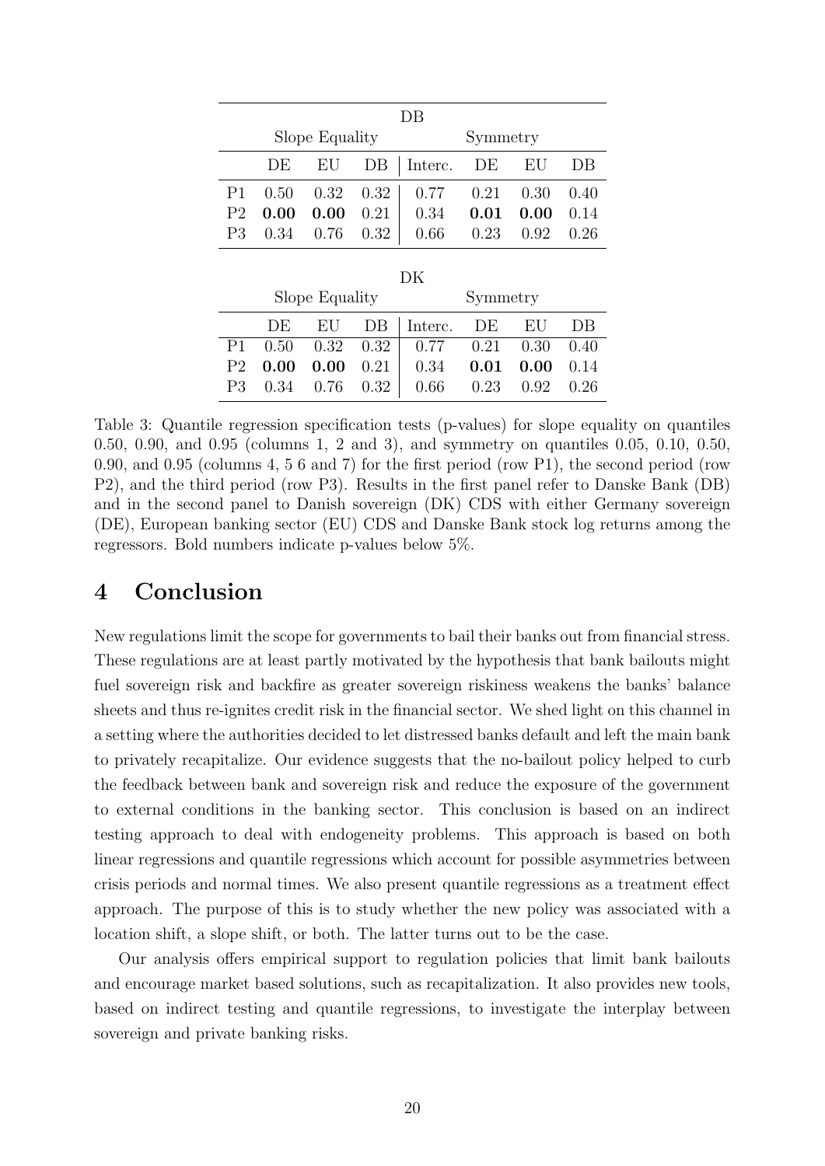|                |                           |                | DВ                                    |                             |      |
|----------------|---------------------------|----------------|---------------------------------------|-----------------------------|------|
|                |                           | Slope Equality |                                       | Symmetry                    |      |
|                |                           |                | DE EU DB   Interc. DE EU              |                             | DB   |
|                |                           |                | P1 0.50 0.32 0.32 0.77 0.21 0.30 0.40 |                             |      |
| P <sub>2</sub> | 0.00                      | $0.00\,$       | $0.21$ 0.34                           | $0.01$ 0.00                 | 0.14 |
|                | $P3 \t0.34 \t0.76 \t0.32$ |                |                                       | $0.66$ $0.23$ $0.92$ $0.26$ |      |

|                |                  | Slope Equality    |      |                             | Symmetry                    |      |      |
|----------------|------------------|-------------------|------|-----------------------------|-----------------------------|------|------|
|                | DE.              |                   |      | $EU$ $DB$   Interc. $DE$    |                             | EU   | DB.  |
|                | P1 0.50          | $0.32 \quad 0.32$ |      | $0.77$ $0.21$ $0.30$ $0.40$ |                             |      |      |
| P <sub>2</sub> | $0.00\quad 0.00$ |                   | 0.21 | 0.34                        | 0.01                        | 0.00 | 0.14 |
| P3             |                  | $0.34$ 0.76 0.32  |      |                             | $0.66$ $0.23$ $0.92$ $0.26$ |      |      |

Table 3: Quantile regression specification tests (p-values) for slope equality on quantiles 0.50, 0.90, and 0.95 (columns 1, 2 and 3), and symmetry on quantiles 0.05, 0.10, 0.50, 0.90, and 0.95 (columns 4, 5 6 and 7) for the first period (row P1), the second period (row P2), and the third period (row P3). Results in the first panel refer to Danske Bank (DB) and in the second panel to Danish sovereign (DK) CDS with either Germany sovereign (DE), European banking sector (EU) CDS and Danske Bank stock log returns among the regressors. Bold numbers indicate p-values below 5%.

### 4 Conclusion

New regulations limit the scope for governments to bail their banks out from financial stress. These regulations are at least partly motivated by the hypothesis that bank bailouts might fuel sovereign risk and backfire as greater sovereign riskiness weakens the banks' balance sheets and thus re-ignites credit risk in the financial sector. We shed light on this channel in a setting where the authorities decided to let distressed banks default and left the main bank to privately recapitalize. Our evidence suggests that the no-bailout policy helped to curb the feedback between bank and sovereign risk and reduce the exposure of the government to external conditions in the banking sector. This conclusion is based on an indirect testing approach to deal with endogeneity problems. This approach is based on both linear regressions and quantile regressions which account for possible asymmetries between crisis periods and normal times. We also present quantile regressions as a treatment effect approach. The purpose of this is to study whether the new policy was associated with a location shift, a slope shift, or both. The latter turns out to be the case.

Our analysis offers empirical support to regulation policies that limit bank bailouts and encourage market based solutions, such as recapitalization. It also provides new tools, based on indirect testing and quantile regressions, to investigate the interplay between sovereign and private banking risks.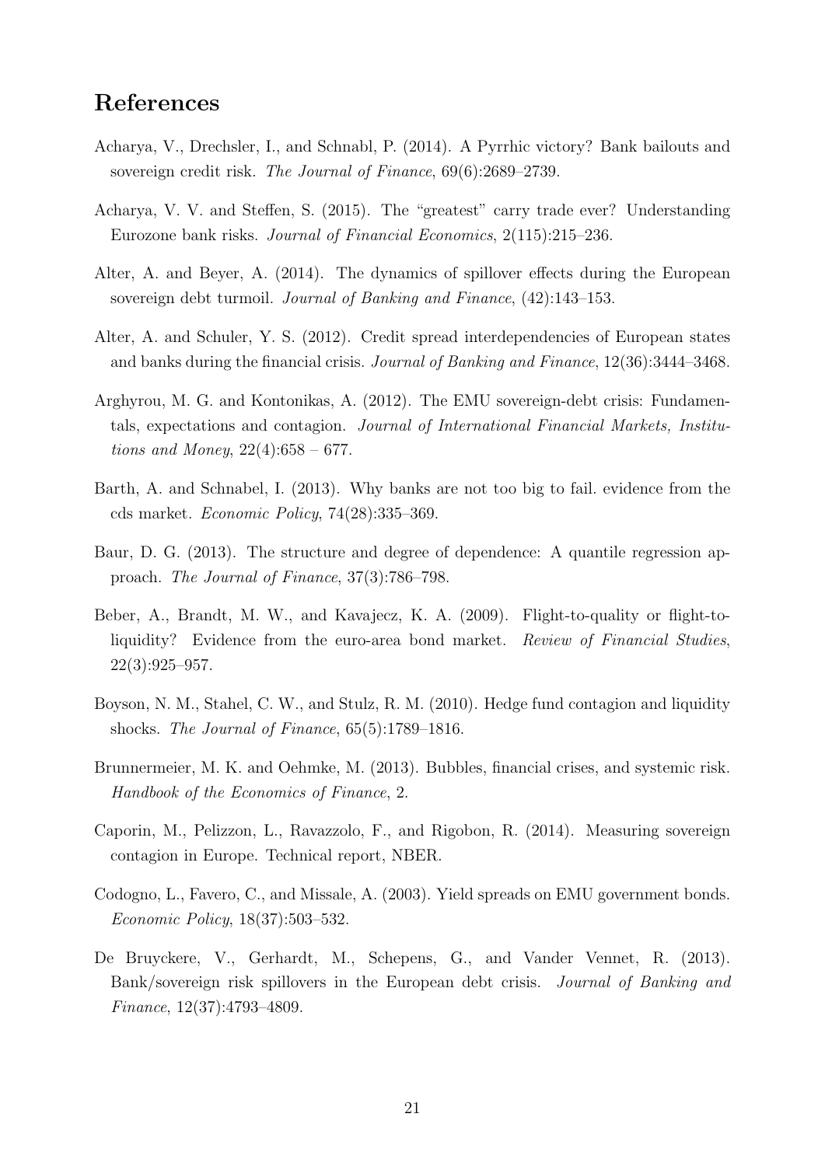### References

- Acharya, V., Drechsler, I., and Schnabl, P. (2014). A Pyrrhic victory? Bank bailouts and sovereign credit risk. The Journal of Finance, 69(6):2689–2739.
- Acharya, V. V. and Steffen, S. (2015). The "greatest" carry trade ever? Understanding Eurozone bank risks. Journal of Financial Economics, 2(115):215–236.
- Alter, A. and Beyer, A. (2014). The dynamics of spillover effects during the European sovereign debt turmoil. Journal of Banking and Finance, (42):143–153.
- Alter, A. and Schuler, Y. S. (2012). Credit spread interdependencies of European states and banks during the financial crisis. Journal of Banking and Finance, 12(36):3444–3468.
- Arghyrou, M. G. and Kontonikas, A. (2012). The EMU sovereign-debt crisis: Fundamentals, expectations and contagion. Journal of International Financial Markets, Institutions and Money,  $22(4):658 - 677$ .
- Barth, A. and Schnabel, I. (2013). Why banks are not too big to fail. evidence from the cds market. Economic Policy, 74(28):335–369.
- Baur, D. G. (2013). The structure and degree of dependence: A quantile regression approach. The Journal of Finance, 37(3):786–798.
- Beber, A., Brandt, M. W., and Kavajecz, K. A. (2009). Flight-to-quality or flight-toliquidity? Evidence from the euro-area bond market. Review of Financial Studies, 22(3):925–957.
- Boyson, N. M., Stahel, C. W., and Stulz, R. M. (2010). Hedge fund contagion and liquidity shocks. The Journal of Finance, 65(5):1789–1816.
- Brunnermeier, M. K. and Oehmke, M. (2013). Bubbles, financial crises, and systemic risk. Handbook of the Economics of Finance, 2.
- Caporin, M., Pelizzon, L., Ravazzolo, F., and Rigobon, R. (2014). Measuring sovereign contagion in Europe. Technical report, NBER.
- Codogno, L., Favero, C., and Missale, A. (2003). Yield spreads on EMU government bonds. Economic Policy, 18(37):503–532.
- De Bruyckere, V., Gerhardt, M., Schepens, G., and Vander Vennet, R. (2013). Bank/sovereign risk spillovers in the European debt crisis. Journal of Banking and Finance, 12(37):4793–4809.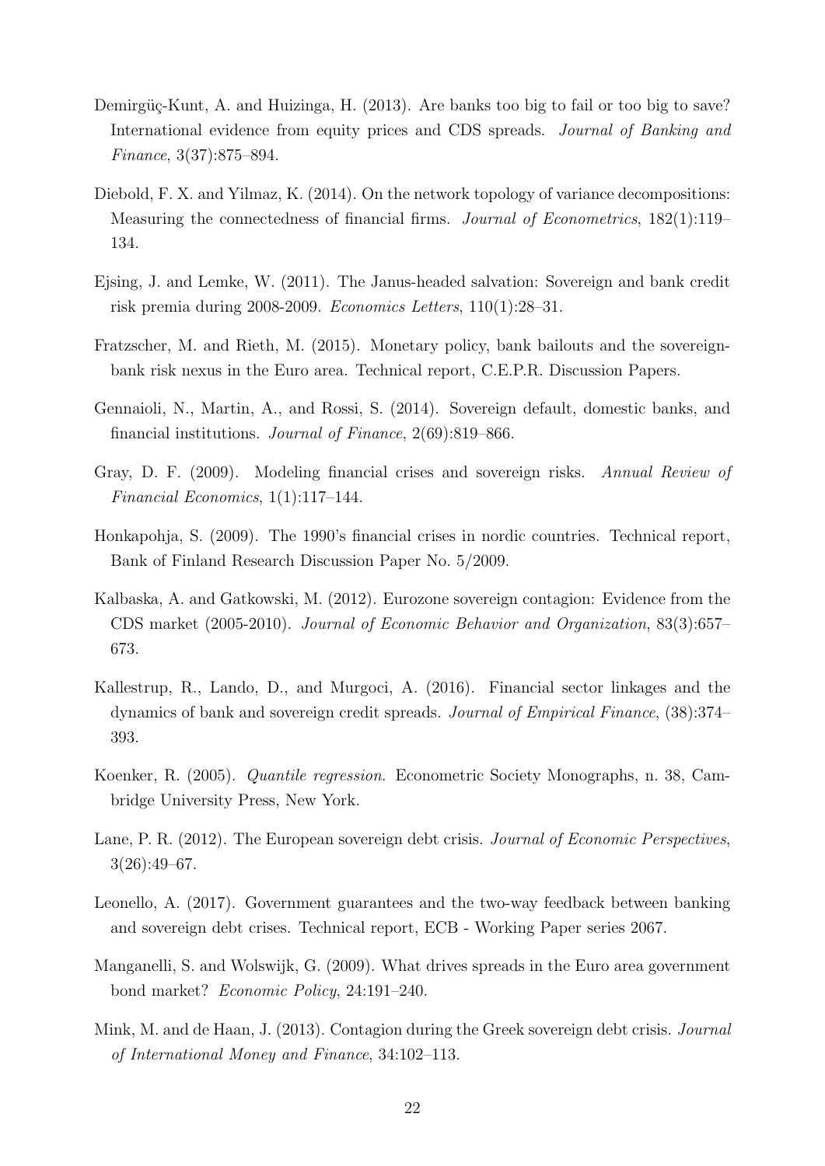- Demirgüç-Kunt, A. and Huizinga, H. (2013). Are banks too big to fail or too big to save? International evidence from equity prices and CDS spreads. Journal of Banking and Finance, 3(37):875–894.
- Diebold, F. X. and Yilmaz, K. (2014). On the network topology of variance decompositions: Measuring the connectedness of financial firms. Journal of Econometrics, 182(1):119– 134.
- Ejsing, J. and Lemke, W. (2011). The Janus-headed salvation: Sovereign and bank credit risk premia during 2008-2009. Economics Letters, 110(1):28–31.
- Fratzscher, M. and Rieth, M. (2015). Monetary policy, bank bailouts and the sovereignbank risk nexus in the Euro area. Technical report, C.E.P.R. Discussion Papers.
- Gennaioli, N., Martin, A., and Rossi, S. (2014). Sovereign default, domestic banks, and financial institutions. Journal of Finance, 2(69):819–866.
- Gray, D. F. (2009). Modeling financial crises and sovereign risks. Annual Review of Financial Economics, 1(1):117–144.
- Honkapohja, S. (2009). The 1990's financial crises in nordic countries. Technical report, Bank of Finland Research Discussion Paper No. 5/2009.
- Kalbaska, A. and Gatkowski, M. (2012). Eurozone sovereign contagion: Evidence from the CDS market (2005-2010). Journal of Economic Behavior and Organization, 83(3):657– 673.
- Kallestrup, R., Lando, D., and Murgoci, A. (2016). Financial sector linkages and the dynamics of bank and sovereign credit spreads. Journal of Empirical Finance, (38):374– 393.
- Koenker, R. (2005). Quantile regression. Econometric Society Monographs, n. 38, Cambridge University Press, New York.
- Lane, P. R. (2012). The European sovereign debt crisis. Journal of Economic Perspectives, 3(26):49–67.
- Leonello, A. (2017). Government guarantees and the two-way feedback between banking and sovereign debt crises. Technical report, ECB - Working Paper series 2067.
- Manganelli, S. and Wolswijk, G. (2009). What drives spreads in the Euro area government bond market? Economic Policy, 24:191–240.
- Mink, M. and de Haan, J. (2013). Contagion during the Greek sovereign debt crisis. Journal of International Money and Finance, 34:102–113.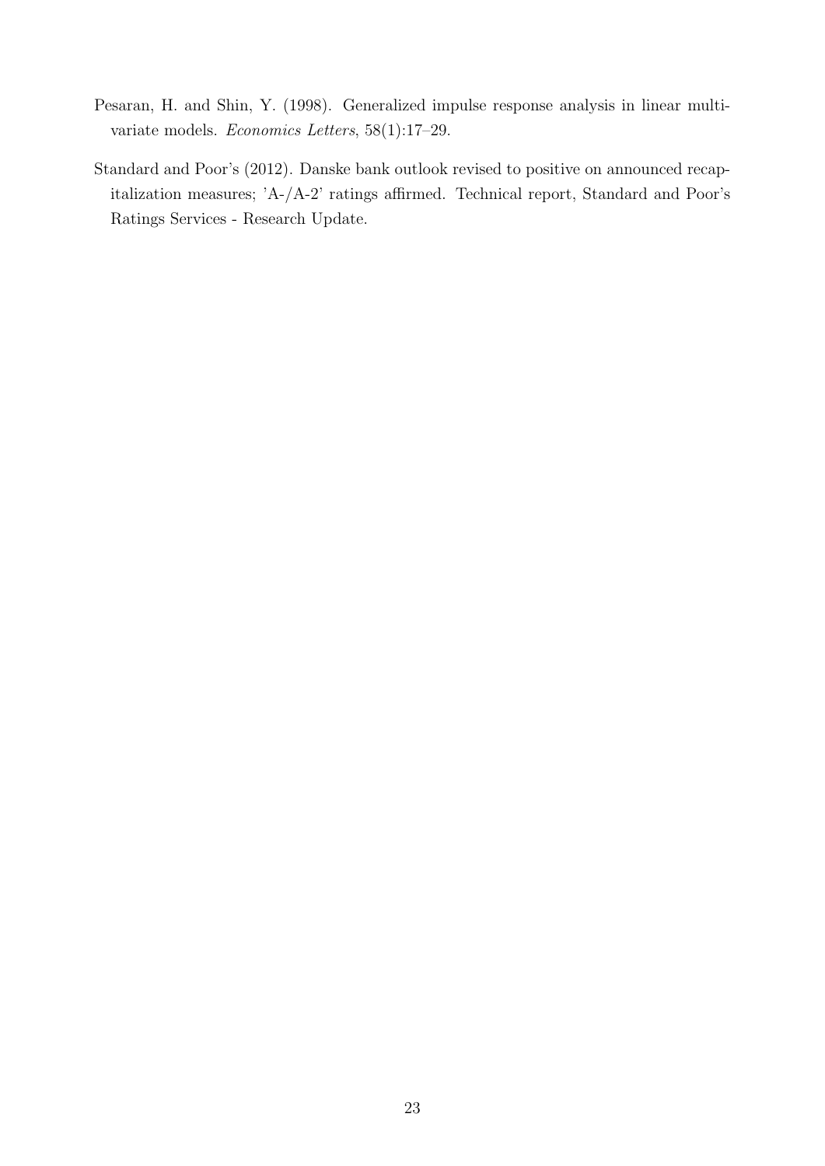- Pesaran, H. and Shin, Y. (1998). Generalized impulse response analysis in linear multivariate models. Economics Letters, 58(1):17–29.
- Standard and Poor's (2012). Danske bank outlook revised to positive on announced recapitalization measures; 'A-/A-2' ratings affirmed. Technical report, Standard and Poor's Ratings Services - Research Update.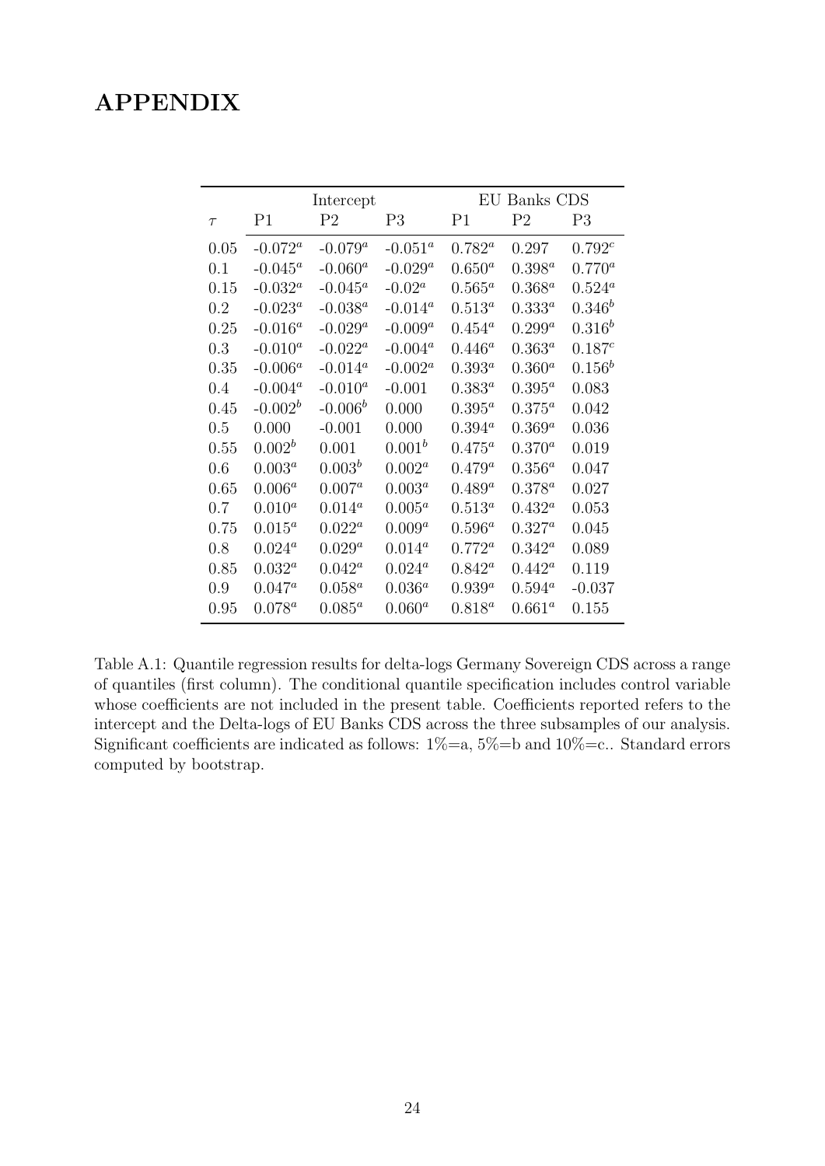### APPENDIX

|         |                | Intercept      |                |                | EU Banks CDS   |                |
|---------|----------------|----------------|----------------|----------------|----------------|----------------|
| $\tau$  | P <sub>1</sub> | P <sub>2</sub> | P <sub>3</sub> | P <sub>1</sub> | P <sub>2</sub> | P <sub>3</sub> |
| 0.05    | $-0.072^a$     | $-0.079^a$     | $-0.051^a$     | $0.782^a$      | 0.297          | $0.792^{c}$    |
| 0.1     | $-0.045^a$     | $-0.060^a$     | $-0.029^a$     | $0.650^{a}$    | $0.398^a$      | $0.770^{a}$    |
| 0.15    | $-0.032^a$     | $-0.045^a$     | $-0.02^a$      | $0.565^a$      | $0.368^a$      | $0.524^a$      |
| 0.2     | $-0.023^a$     | $-0.038^a$     | $-0.014^a$     | $0.513^a$      | $0.333^{a}$    | $0.346^{b}$    |
| 0.25    | $-0.016^a$     | $-0.029^a$     | $-0.009^a$     | $0.454^a$      | $0.299^a$      | $0.316^{b}$    |
| $0.3\,$ | $-0.010^a$     | $-0.022^a$     | $-0.004^a$     | $0.446^a$      | $0.363^{a}$    | $0.187^{c}$    |
| 0.35    | $-0.006^a$     | $-0.014^a$     | $-0.002^a$     | $0.393^{a}$    | $0.360^a$      | $0.156^b$      |
| 0.4     | $-0.004^a$     | $-0.010^a$     | $-0.001$       | $0.383^{a}$    | $0.395^a$      | 0.083          |
| 0.45    | $-0.002^b$     | $-0.006^b$     | 0.000          | $0.395^a$      | $0.375^a$      | 0.042          |
| 0.5     | 0.000          | $-0.001$       | 0.000          | $0.394^{a}$    | $0.369^a$      | 0.036          |
| 0.55    | $0.002^b$      | 0.001          | $0.001^b$      | $0.475^a$      | $0.370^{a}$    | 0.019          |
| 0.6     | $0.003^a$      | $0.003^b$      | $0.002^a$      | $0.479^{a}$    | $0.356^a$      | 0.047          |
| 0.65    | $0.006^{a}$    | $0.007^a$      | $0.003^a$      | $0.489^{a}$    | $0.378^{a}$    | 0.027          |
| 0.7     | $0.010^{a}$    | $0.014^a$      | $0.005^a$      | $0.513^a$      | $0.432^a$      | 0.053          |
| 0.75    | $0.015^a$      | $0.022^a$      | $0.009^{a}$    | $0.596^a$      | $0.327^a$      | 0.045          |
| 0.8     | $0.024^a$      | $0.029^a$      | $0.014^a$      | $0.772^a$      | $0.342^a$      | 0.089          |
| 0.85    | $0.032^a$      | $0.042^a$      | $0.024^a$      | $0.842^a$      | $0.442^a$      | 0.119          |
| 0.9     | $0.047^a$      | $0.058^a$      | $0.036^{a}$    | $0.939^{a}$    | $0.594^a$      | $-0.037$       |
| 0.95    | $0.078^a$      | $0.085^a$      | $0.060^{a}$    | $0.818^{a}$    | $0.661^a$      | 0.155          |

Table A.1: Quantile regression results for delta-logs Germany Sovereign CDS across a range of quantiles (first column). The conditional quantile specification includes control variable whose coefficients are not included in the present table. Coefficients reported refers to the intercept and the Delta-logs of EU Banks CDS across the three subsamples of our analysis. Significant coefficients are indicated as follows:  $1\% = a$ ,  $5\% = b$  and  $10\% = c$ . Standard errors computed by bootstrap.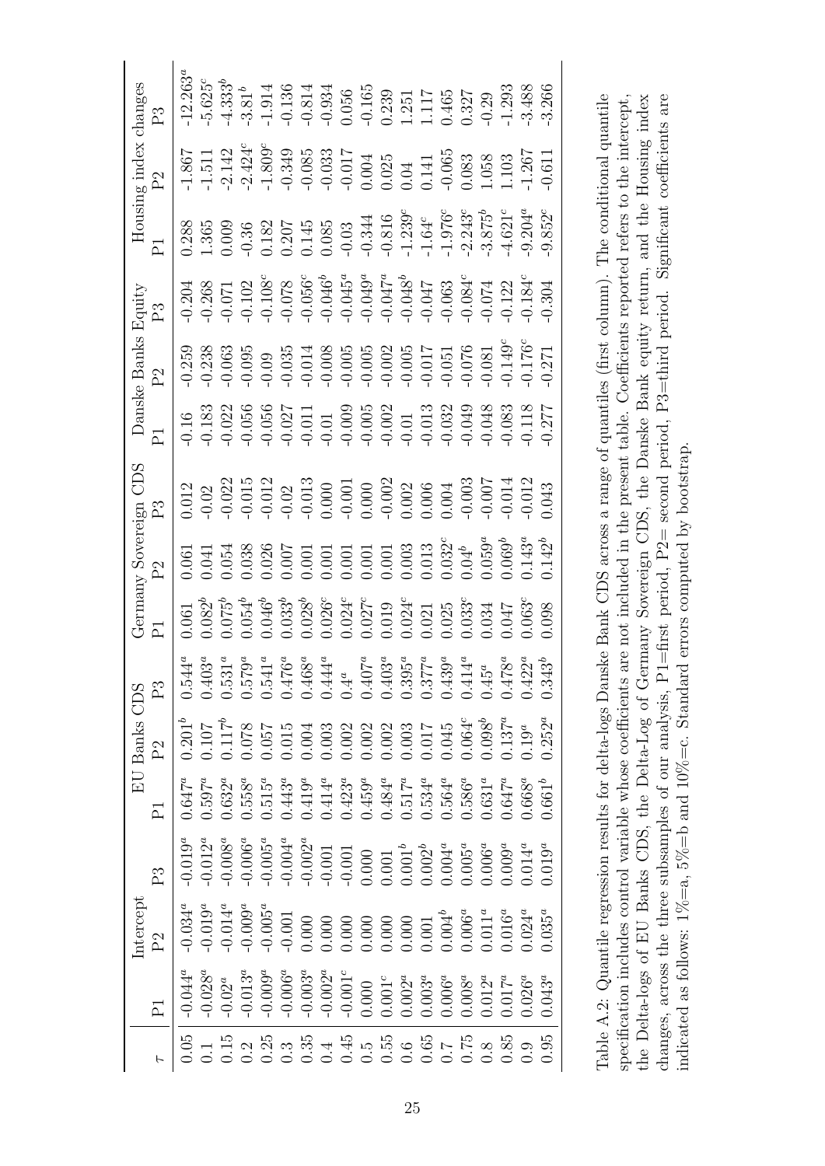|                                                                                                                                                                                                                                                                                              | intercept                                                                                                                                                                        |                                                                                                                                                                                                                                                                          |                                                                                                                                                                  | EU Banks CDS                                                                                                                                                                                                                                                               |                                                                                                                                                                                                                  |                                                                                                                                                                                                                                                                                                     | Germany Sovereign                                                                                                                                                                                                                                                                                   | SŒ                                                                                                                                                                                                                                                                                                  | Danske Banks   | Equity                                                                                                                                                          |                                                                                                                                                                                                                                                                                                     | Housing index                                                                                                                                                                                                                                                                                                                      | changes                                                                                                                                                                                                                                                                                                                                                                          |
|----------------------------------------------------------------------------------------------------------------------------------------------------------------------------------------------------------------------------------------------------------------------------------------------|----------------------------------------------------------------------------------------------------------------------------------------------------------------------------------|--------------------------------------------------------------------------------------------------------------------------------------------------------------------------------------------------------------------------------------------------------------------------|------------------------------------------------------------------------------------------------------------------------------------------------------------------|----------------------------------------------------------------------------------------------------------------------------------------------------------------------------------------------------------------------------------------------------------------------------|------------------------------------------------------------------------------------------------------------------------------------------------------------------------------------------------------------------|-----------------------------------------------------------------------------------------------------------------------------------------------------------------------------------------------------------------------------------------------------------------------------------------------------|-----------------------------------------------------------------------------------------------------------------------------------------------------------------------------------------------------------------------------------------------------------------------------------------------------|-----------------------------------------------------------------------------------------------------------------------------------------------------------------------------------------------------------------------------------------------------------------------------------------------------|----------------|-----------------------------------------------------------------------------------------------------------------------------------------------------------------|-----------------------------------------------------------------------------------------------------------------------------------------------------------------------------------------------------------------------------------------------------------------------------------------------------|------------------------------------------------------------------------------------------------------------------------------------------------------------------------------------------------------------------------------------------------------------------------------------------------------------------------------------|----------------------------------------------------------------------------------------------------------------------------------------------------------------------------------------------------------------------------------------------------------------------------------------------------------------------------------------------------------------------------------|
|                                                                                                                                                                                                                                                                                              | $\mathbb{P}^2$                                                                                                                                                                   | P3                                                                                                                                                                                                                                                                       | $\overline{P}$                                                                                                                                                   | P <sub>2</sub>                                                                                                                                                                                                                                                             | P3                                                                                                                                                                                                               |                                                                                                                                                                                                                                                                                                     | 2                                                                                                                                                                                                                                                                                                   |                                                                                                                                                                                                                                                                                                     | $\mathbb{S}^1$ | S<br>C                                                                                                                                                          | $\overline{L}$                                                                                                                                                                                                                                                                                      | $\mathbb{P}^2$                                                                                                                                                                                                                                                                                                                     | $\mathbb{P}^3$                                                                                                                                                                                                                                                                                                                                                                   |
| $-0.044^a$                                                                                                                                                                                                                                                                                   | $-0.034^{a}$                                                                                                                                                                     | $0.019^a$                                                                                                                                                                                                                                                                | $0.647^{a}$                                                                                                                                                      | $0.201^{b}$                                                                                                                                                                                                                                                                | $0.544^a$                                                                                                                                                                                                        |                                                                                                                                                                                                                                                                                                     |                                                                                                                                                                                                                                                                                                     | 0.12                                                                                                                                                                                                                                                                                                |                | 0.204                                                                                                                                                           | $\begin{array}{l} 0.388 \\ 1.365 \\ 0.099 \\ 0.182 \\ 0.009 \\ 0.145 \\ 0.000 \\ 0.000 \\ 0.000 \\ 0.000 \\ 0.000 \\ 0.000 \\ 0.000 \\ 0.000 \\ 0.000 \\ 0.000 \\ 0.000 \\ 0.000 \\ 0.000 \\ 0.000 \\ 0.000 \\ 0.000 \\ 0.000 \\ 0.000 \\ 0.000 \\ 0.000 \\ 0.000 \\ 0.000 \\ 0.000 \\ 0.000 \\ 0.$ | $\begin{array}{l} -1.867 \\ -1.5142 \\ -1.424 \\ -1.809 \\ -1.809 \\ -1.809 \\ -1.949 \\ -1.949 \\ -1.949 \\ -1.965 \\ -1.140 \\ -1.267 \\ -1.267 \\ -1.267 \\ -1.267 \\ -1.267 \\ -1.267 \\ -1.267 \\ -1.267 \\ -1.267 \\ -1.267 \\ -1.267 \\ -1.267 \\ -1.267 \\ -1.267 \\ -1.267 \\ -1.267 \\ -1.267 \\ -1.267 \\ -1.267 \\ -1$ | $-12.263$                                                                                                                                                                                                                                                                                                                                                                        |
|                                                                                                                                                                                                                                                                                              |                                                                                                                                                                                  |                                                                                                                                                                                                                                                                          |                                                                                                                                                                  |                                                                                                                                                                                                                                                                            |                                                                                                                                                                                                                  |                                                                                                                                                                                                                                                                                                     |                                                                                                                                                                                                                                                                                                     |                                                                                                                                                                                                                                                                                                     |                |                                                                                                                                                                 |                                                                                                                                                                                                                                                                                                     |                                                                                                                                                                                                                                                                                                                                    |                                                                                                                                                                                                                                                                                                                                                                                  |
|                                                                                                                                                                                                                                                                                              | $-0.019^a$<br>$-0.014^a$                                                                                                                                                         |                                                                                                                                                                                                                                                                          |                                                                                                                                                                  |                                                                                                                                                                                                                                                                            |                                                                                                                                                                                                                  |                                                                                                                                                                                                                                                                                                     |                                                                                                                                                                                                                                                                                                     |                                                                                                                                                                                                                                                                                                     |                |                                                                                                                                                                 |                                                                                                                                                                                                                                                                                                     |                                                                                                                                                                                                                                                                                                                                    |                                                                                                                                                                                                                                                                                                                                                                                  |
|                                                                                                                                                                                                                                                                                              | $-0.009$ <sup>a</sup>                                                                                                                                                            |                                                                                                                                                                                                                                                                          |                                                                                                                                                                  |                                                                                                                                                                                                                                                                            |                                                                                                                                                                                                                  |                                                                                                                                                                                                                                                                                                     |                                                                                                                                                                                                                                                                                                     |                                                                                                                                                                                                                                                                                                     |                |                                                                                                                                                                 |                                                                                                                                                                                                                                                                                                     |                                                                                                                                                                                                                                                                                                                                    |                                                                                                                                                                                                                                                                                                                                                                                  |
|                                                                                                                                                                                                                                                                                              |                                                                                                                                                                                  |                                                                                                                                                                                                                                                                          |                                                                                                                                                                  |                                                                                                                                                                                                                                                                            |                                                                                                                                                                                                                  |                                                                                                                                                                                                                                                                                                     |                                                                                                                                                                                                                                                                                                     |                                                                                                                                                                                                                                                                                                     |                |                                                                                                                                                                 |                                                                                                                                                                                                                                                                                                     |                                                                                                                                                                                                                                                                                                                                    |                                                                                                                                                                                                                                                                                                                                                                                  |
|                                                                                                                                                                                                                                                                                              |                                                                                                                                                                                  |                                                                                                                                                                                                                                                                          |                                                                                                                                                                  |                                                                                                                                                                                                                                                                            |                                                                                                                                                                                                                  |                                                                                                                                                                                                                                                                                                     |                                                                                                                                                                                                                                                                                                     |                                                                                                                                                                                                                                                                                                     |                |                                                                                                                                                                 |                                                                                                                                                                                                                                                                                                     |                                                                                                                                                                                                                                                                                                                                    |                                                                                                                                                                                                                                                                                                                                                                                  |
| $\begin{array}{l} 0.028\\ -0.013\\ -0.009\\ -0.0009\\ -0.0009\\ -0.0003\\ -0.0000\\ -0.0000\\ -0.0000\\ -0.0000\\ -0.0000\\ -0.0000\\ -0.0000\\ -0.0000\\ -0.0000\\ -0.0000\\ -0.0000\\ -0.0000\\ -0.0000\\ -0.0000\\ -0.0000\\ -0.0000\\ -0.0000\\ -0.0000\\ -0.0000\\ -0.0000\\ -0.0000\\$ | $\begin{array}{l} 0.005^a\\ -0.001\\ 0.000\\ 0.000\\ 0.000\\ 0.000\\ 0.000\\ 0.000\\ 0.000\\ 0.000\\ 0.000\\ 0.000\\ 0.000\\ 0.000\\ 0.0035^a\\ 0.035^a\\ 0.035^a\\ \end{array}$ | $\begin{array}{l} 0.012^a\\ -0.008^a\\ -0.005^a\\ -0.004^a\\ -0.002^a\\ -0.002^a\\ -0.001^a\\ -0.001^a\\ -0.001^a\\ 0.000\\ 0.0000\\ 0.0000\\ 0.0000\\ 0.0000\\ 0.0000\\ 0.0000\\ 0.0000\\ 0.0000\\ 0.0000\\ 0.0000\\ 0.0000\\ 0.0000\\ 0.0000\\ 0.0000\\ 0.0000\\ 0.00$ | $\begin{array}{l} 0.597^a\\ 0.632^a\\ 0.515^a\\ 0.443^a\\ 0.419^a\\ 0.414^a\\ 0.414^a\\ 0.459^a\\ 0.558^a\\ 0.631^a\\ 0.631^a\\ 0.668^a\\ 0.668^a\\ \end{array}$ | $\begin{array}{l} 117^{\text{h}}\\ 0.117^{\text{h}}\\ 0.0578\\ 0.015\\ 0.000\\ 0.0000\\ 0.0000\\ 0.0000\\ 0.0000\\ 0.0000\\ 0.0000\\ 0.0000\\ 0.0000\\ 0.0000\\ 0.0000\\ 0.0000\\ 0.0000\\ 0.0000\\ 0.0000\\ 0.0000\\ 0.0000\\ 0.0000\\ 0.0000\\ 0.0000\\ 0.0000\\ 0.0000$ | $\begin{array}{c} 0.403^a\\ 0.531^a\\ 0.541^a\\ 0.468^a\\ 0.444^a\\ 0.403^a\\ 0.41^a\\ 0.403^a\\ 0.41^a\\ 0.403^a\\ 0.414^a\\ 0.403^a\\ 0.414^a\\ 0.403^a\\ 0.414^a\\ 0.414^a\\ 0.422^a\\ 0.343^b\\ \end{array}$ | $\begin{array}{l} 1.061 \\ 0.082 \\ 0.075 \\ 0.054 \\ 0.033 \\ 0.033 \\ 0.030 \\ 0.030 \\ 0.010 \\ 0.010 \\ 0.010 \\ 0.010 \\ 0.010 \\ 0.010 \\ 0.010 \\ 0.010 \\ 0.010 \\ 0.010 \\ 0.010 \\ 0.010 \\ 0.010 \\ 0.010 \\ 0.010 \\ 0.010 \\ 0.010 \\ 0.003 \\ 0.003 \\ 0.003 \\ 0.003 \\ 0.003 \\ 0.$ | $\begin{array}{l} 0.061 \\ 0.041 \\ 0.053 \\ 0.038 \\ 0.007 \\ 0.000 \\ 0.000 \\ 0.001 \\ 0.001 \\ 0.001 \\ 0.001 \\ 0.001 \\ 0.001 \\ 0.003 \\ 0.032 \\ 0.039 \\ 0.039 \\ 0.030 \\ 0.009 \\ 0.000 \\ 0.000 \\ 0.000 \\ 0.000 \\ 0.000 \\ 0.000 \\ 0.000 \\ 0.000 \\ 0.000 \\ 0.000 \\ 0.000 \\ 0.$ | $\begin{array}{l} 0.02 \\ 0.012 \\ 0.011 \\ 0.012 \\ 0.013 \\ 0.000 \\ 0.000 \\ 0.000 \\ 0.000 \\ 0.000 \\ 0.000 \\ 0.000 \\ 0.000 \\ 0.000 \\ 0.000 \\ 0.001 \\ 0.003 \\ 0.003 \\ 0.003 \\ 0.003 \\ 0.003 \\ 0.003 \\ 0.003 \\ 0.003 \\ 0.003 \\ 0.003 \\ 0.003 \\ 0.003 \\ 0.003 \\ 0.003 \\ 0.0$ |                | $\begin{array}{l} 0.268 \\ -0.071 \\ -0.102 \\ -0.078 \\ -0.078 \\ -0.056 \\ -0.045 \\ -0.049 \\ -0.049 \\ -0.043 \\ -0.043 \\ -0.043 \\ -0.043 \\ \end{array}$ |                                                                                                                                                                                                                                                                                                     |                                                                                                                                                                                                                                                                                                                                    | $\begin{array}{cccc}\n625, & 33 \\ 6233, & 14 \\ 74 & 91 & 31 \\ 85 & 14 \\ 9 & 14 \\ 9 & 14 \\ 9 & 14 \\ 9 & 14 \\ 9 & 14 \\ 9 & 14 \\ 9 & 14 \\ 9 & 14 \\ 9 & 14 \\ 9 & 14 \\ 9 & 14 \\ 9 & 14 \\ 9 & 14 \\ 1 & 14 \\ 1 & 14 \\ 1 & 14 \\ 1 & 14 \\ 1 & 14 \\ 1 & 14 \\ 1 & 14 \\ 1 & 14 \\ 1 & 14 \\ 1 & 14 \\ 1 & 14 \\ 1 & 14 \\ 1 & 14 \\ 1 & 14 \\ 1 & 14 \\ 1 & 14 \\ 1$ |
|                                                                                                                                                                                                                                                                                              |                                                                                                                                                                                  |                                                                                                                                                                                                                                                                          |                                                                                                                                                                  |                                                                                                                                                                                                                                                                            |                                                                                                                                                                                                                  |                                                                                                                                                                                                                                                                                                     |                                                                                                                                                                                                                                                                                                     |                                                                                                                                                                                                                                                                                                     |                |                                                                                                                                                                 |                                                                                                                                                                                                                                                                                                     |                                                                                                                                                                                                                                                                                                                                    |                                                                                                                                                                                                                                                                                                                                                                                  |
|                                                                                                                                                                                                                                                                                              |                                                                                                                                                                                  |                                                                                                                                                                                                                                                                          |                                                                                                                                                                  |                                                                                                                                                                                                                                                                            |                                                                                                                                                                                                                  |                                                                                                                                                                                                                                                                                                     |                                                                                                                                                                                                                                                                                                     |                                                                                                                                                                                                                                                                                                     |                |                                                                                                                                                                 |                                                                                                                                                                                                                                                                                                     |                                                                                                                                                                                                                                                                                                                                    |                                                                                                                                                                                                                                                                                                                                                                                  |
|                                                                                                                                                                                                                                                                                              |                                                                                                                                                                                  |                                                                                                                                                                                                                                                                          |                                                                                                                                                                  |                                                                                                                                                                                                                                                                            |                                                                                                                                                                                                                  |                                                                                                                                                                                                                                                                                                     |                                                                                                                                                                                                                                                                                                     |                                                                                                                                                                                                                                                                                                     |                |                                                                                                                                                                 |                                                                                                                                                                                                                                                                                                     |                                                                                                                                                                                                                                                                                                                                    |                                                                                                                                                                                                                                                                                                                                                                                  |
|                                                                                                                                                                                                                                                                                              |                                                                                                                                                                                  |                                                                                                                                                                                                                                                                          |                                                                                                                                                                  |                                                                                                                                                                                                                                                                            |                                                                                                                                                                                                                  |                                                                                                                                                                                                                                                                                                     |                                                                                                                                                                                                                                                                                                     |                                                                                                                                                                                                                                                                                                     |                |                                                                                                                                                                 |                                                                                                                                                                                                                                                                                                     |                                                                                                                                                                                                                                                                                                                                    |                                                                                                                                                                                                                                                                                                                                                                                  |
|                                                                                                                                                                                                                                                                                              |                                                                                                                                                                                  |                                                                                                                                                                                                                                                                          |                                                                                                                                                                  |                                                                                                                                                                                                                                                                            |                                                                                                                                                                                                                  |                                                                                                                                                                                                                                                                                                     |                                                                                                                                                                                                                                                                                                     |                                                                                                                                                                                                                                                                                                     |                |                                                                                                                                                                 |                                                                                                                                                                                                                                                                                                     |                                                                                                                                                                                                                                                                                                                                    |                                                                                                                                                                                                                                                                                                                                                                                  |
|                                                                                                                                                                                                                                                                                              |                                                                                                                                                                                  |                                                                                                                                                                                                                                                                          |                                                                                                                                                                  |                                                                                                                                                                                                                                                                            |                                                                                                                                                                                                                  |                                                                                                                                                                                                                                                                                                     |                                                                                                                                                                                                                                                                                                     |                                                                                                                                                                                                                                                                                                     |                |                                                                                                                                                                 |                                                                                                                                                                                                                                                                                                     |                                                                                                                                                                                                                                                                                                                                    |                                                                                                                                                                                                                                                                                                                                                                                  |
|                                                                                                                                                                                                                                                                                              |                                                                                                                                                                                  |                                                                                                                                                                                                                                                                          |                                                                                                                                                                  |                                                                                                                                                                                                                                                                            |                                                                                                                                                                                                                  |                                                                                                                                                                                                                                                                                                     |                                                                                                                                                                                                                                                                                                     |                                                                                                                                                                                                                                                                                                     |                |                                                                                                                                                                 |                                                                                                                                                                                                                                                                                                     |                                                                                                                                                                                                                                                                                                                                    |                                                                                                                                                                                                                                                                                                                                                                                  |
|                                                                                                                                                                                                                                                                                              |                                                                                                                                                                                  |                                                                                                                                                                                                                                                                          |                                                                                                                                                                  |                                                                                                                                                                                                                                                                            |                                                                                                                                                                                                                  |                                                                                                                                                                                                                                                                                                     |                                                                                                                                                                                                                                                                                                     |                                                                                                                                                                                                                                                                                                     |                |                                                                                                                                                                 |                                                                                                                                                                                                                                                                                                     |                                                                                                                                                                                                                                                                                                                                    |                                                                                                                                                                                                                                                                                                                                                                                  |
|                                                                                                                                                                                                                                                                                              |                                                                                                                                                                                  |                                                                                                                                                                                                                                                                          |                                                                                                                                                                  |                                                                                                                                                                                                                                                                            |                                                                                                                                                                                                                  |                                                                                                                                                                                                                                                                                                     |                                                                                                                                                                                                                                                                                                     |                                                                                                                                                                                                                                                                                                     |                |                                                                                                                                                                 |                                                                                                                                                                                                                                                                                                     |                                                                                                                                                                                                                                                                                                                                    |                                                                                                                                                                                                                                                                                                                                                                                  |
|                                                                                                                                                                                                                                                                                              |                                                                                                                                                                                  |                                                                                                                                                                                                                                                                          |                                                                                                                                                                  |                                                                                                                                                                                                                                                                            |                                                                                                                                                                                                                  |                                                                                                                                                                                                                                                                                                     |                                                                                                                                                                                                                                                                                                     |                                                                                                                                                                                                                                                                                                     |                | $\frac{0.084}{0.074}$<br>$\frac{0.074}{0.122}$<br>$\frac{0.122}{0.304}$                                                                                         |                                                                                                                                                                                                                                                                                                     |                                                                                                                                                                                                                                                                                                                                    |                                                                                                                                                                                                                                                                                                                                                                                  |
|                                                                                                                                                                                                                                                                                              |                                                                                                                                                                                  |                                                                                                                                                                                                                                                                          |                                                                                                                                                                  |                                                                                                                                                                                                                                                                            |                                                                                                                                                                                                                  |                                                                                                                                                                                                                                                                                                     | $1.143^a$<br>$0.142^b$                                                                                                                                                                                                                                                                              |                                                                                                                                                                                                                                                                                                     |                |                                                                                                                                                                 |                                                                                                                                                                                                                                                                                                     |                                                                                                                                                                                                                                                                                                                                    |                                                                                                                                                                                                                                                                                                                                                                                  |
| $0.043^{a}$                                                                                                                                                                                                                                                                                  |                                                                                                                                                                                  |                                                                                                                                                                                                                                                                          | $0.661^b$                                                                                                                                                        |                                                                                                                                                                                                                                                                            |                                                                                                                                                                                                                  |                                                                                                                                                                                                                                                                                                     |                                                                                                                                                                                                                                                                                                     |                                                                                                                                                                                                                                                                                                     |                |                                                                                                                                                                 |                                                                                                                                                                                                                                                                                                     |                                                                                                                                                                                                                                                                                                                                    |                                                                                                                                                                                                                                                                                                                                                                                  |
|                                                                                                                                                                                                                                                                                              |                                                                                                                                                                                  |                                                                                                                                                                                                                                                                          |                                                                                                                                                                  |                                                                                                                                                                                                                                                                            |                                                                                                                                                                                                                  |                                                                                                                                                                                                                                                                                                     |                                                                                                                                                                                                                                                                                                     |                                                                                                                                                                                                                                                                                                     |                |                                                                                                                                                                 |                                                                                                                                                                                                                                                                                                     |                                                                                                                                                                                                                                                                                                                                    |                                                                                                                                                                                                                                                                                                                                                                                  |

Table A.2: Quantile regression results for delta-logs Danske Bank CDS across a range of quantiles (first column). The conditional quantile specification includes control variable whose coefficients are not included in the present table. Coefficients reported refers to the intercept, the Delta-logs of EU Banks CDS, the Delta-Log of Germany Sovereign CDS, the Danske Bank equity return, and the Housing index changes, across the three subsamples of our analysis, P1=first period, P2= second period, P3=third period. Significant coefficients are Table A.2: Quantile regression results for delta-logs Danske Bank CDS across a range of quantiles (first column). The conditional quantile the Delta-logs of EU Banks CDS, the Delta-Log of Germany Sovereign CDS, the Danske Bank equity return, and the Housing index changes, across the three subsamples of our analysis, P1=first period, P2= second period, P3=third period. Significant coefficients are specification includes control variable whose coefficients are not included in the present table. Coefficients reported refers to the intercept, indicated as follows:  $1\% = a$ ,  $5\% = b$  and  $10\% = c$ . Standard errors computed by bootstrap. indicated as follows:  $1\% = a$ ,  $5\% = b$  and  $10\% = c$ . Standard errors computed by bootstrap.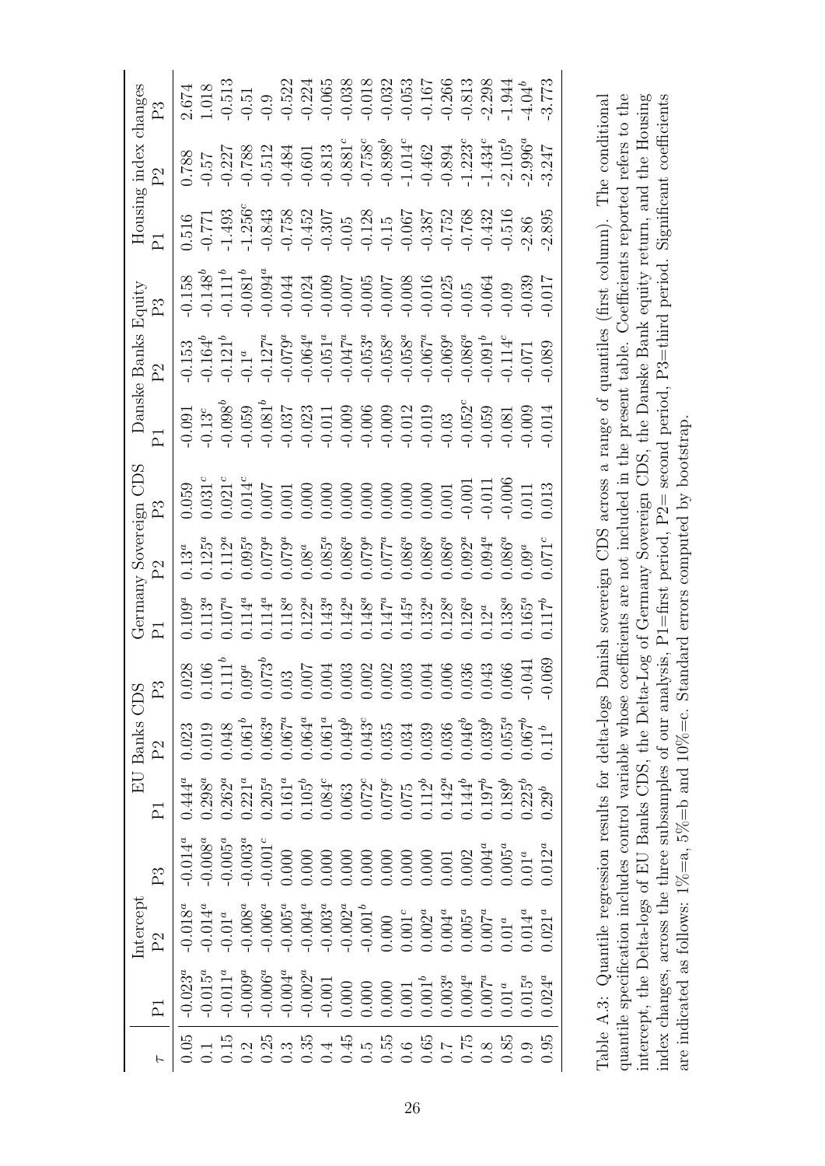| $\th$ anges     | $\mathbb{P}^3$                                                                                                                                                                                                                                                                                                                                                                                         |                                                                                                                                                                                                                                                |                                                                                                                                                                                                                                                                                                                          |  |  |  |  |  |  |  |                                                                                                                                                                                                                                                                      |
|-----------------|--------------------------------------------------------------------------------------------------------------------------------------------------------------------------------------------------------------------------------------------------------------------------------------------------------------------------------------------------------------------------------------------------------|------------------------------------------------------------------------------------------------------------------------------------------------------------------------------------------------------------------------------------------------|--------------------------------------------------------------------------------------------------------------------------------------------------------------------------------------------------------------------------------------------------------------------------------------------------------------------------|--|--|--|--|--|--|--|----------------------------------------------------------------------------------------------------------------------------------------------------------------------------------------------------------------------------------------------------------------------|
| index           | $\mathbb{S}^1$                                                                                                                                                                                                                                                                                                                                                                                         | 0.788                                                                                                                                                                                                                                          | $-0.57\n-0.788\n-0.601\n-0.601\n-0.602\n-0.788\n-0.603\n-0.788\n-0.788\n-0.603\n-0.788\n-0.788\n-0.788\n-0.788\n-0.788\n-0.788\n-0.788\n-0.788\n-0.788\n-0.788\n-0.788\n-0.788\n-0.788\n-0.788\n-0.78$                                                                                                                   |  |  |  |  |  |  |  |                                                                                                                                                                                                                                                                      |
| Housin          |                                                                                                                                                                                                                                                                                                                                                                                                        | 0.516                                                                                                                                                                                                                                          | $\begin{array}{l} 771 \\ -14.93 \\ -14.956 \\ -14.958 \\ -14.958 \\ -14.958 \\ -14.958 \\ -14.958 \\ -14.958 \\ -14.958 \\ -14.958 \\ -14.958 \\ -14.958 \\ -14.958 \\ -14.958 \\ -14.958 \\ -14.958 \\ -14.958 \\ -14.958 \\ -14.958 \\ -14.958 \\ -14.958 \\ -14.958 \\ -14.958 \\ -14.958 \\ -14.958 \\ -14.958 \\ -$ |  |  |  |  |  |  |  |                                                                                                                                                                                                                                                                      |
| Equity          | P3                                                                                                                                                                                                                                                                                                                                                                                                     |                                                                                                                                                                                                                                                |                                                                                                                                                                                                                                                                                                                          |  |  |  |  |  |  |  |                                                                                                                                                                                                                                                                      |
| Danske Banks    | $\mathbb{C}^1$                                                                                                                                                                                                                                                                                                                                                                                         |                                                                                                                                                                                                                                                | $\begin{array}{lll} -0.153\\ -0.164^b\\ -0.121^a\\ -0.127^a\\ -0.0064^a\\ -0.0064^a\\ -0.0064^a\\ -0.0064^a\\ -0.0068^a\\ -0.0068^a\\ -0.0066^a\\ -0.0066^a\\ -0.0066^a\\ -0.0066^a\\ -0.0066^a\\ -0.0066^a\\ -0.0066^a\\ -0.0066^a\\ -0.0066^a\\ -0.0066^a\\ -0.0066^a\\ -0.0066^$                                      |  |  |  |  |  |  |  |                                                                                                                                                                                                                                                                      |
|                 |                                                                                                                                                                                                                                                                                                                                                                                                        | $-0.091$                                                                                                                                                                                                                                       | $\begin{array}{l} 35 \\ 135 \\ 0.05 \\ 9.05 \\ 9.05 \\ 9.05 \\ 9.05 \\ 9.05 \\ 9.05 \\ 9.05 \\ 9.05 \\ 9.05 \\ 9.05 \\ 9.05 \\ 9.05 \\ 9.05 \\ 9.05 \\ 9.05 \\ 9.05 \\ 9.05 \\ 9.05 \\ 9.05 \\ 9.05 \\ 9.05 \\ 9.05 \\ 9.05 \\ 9.05 \\ 9.05 \\ 9.05 \\ 9.05 \\ 9.05 \\ 9.05 \\ 9.05 \\ 9.05 \\ 9.05 \\ 9.05 \\$          |  |  |  |  |  |  |  |                                                                                                                                                                                                                                                                      |
| CDS             |                                                                                                                                                                                                                                                                                                                                                                                                        | 0.059                                                                                                                                                                                                                                          | $\begin{array}{l} 0.0314 \\ 0.0214 \\ 0.0000 \\ 0.0000 \\ 0.0000 \\ 0.0000 \\ 0.0000 \\ 0.0000 \\ 0.0000 \\ 0.0000 \\ 0.0000 \\ 0.0011 \\ 0.0000 \\ 0.0011 \\ 0.0000 \\ 0.0000 \\ 0.0011 \\ 0.0000 \\ 0.0011 \\ 0.0000 \\ 0.0000 \\ 0.0000 \\ 0.0000 \\ 0.0000 \\ 0.0000 \\ 0.0000 \\ 0.00$                              |  |  |  |  |  |  |  |                                                                                                                                                                                                                                                                      |
| Sovereign       | $\mathbb{P}^2$                                                                                                                                                                                                                                                                                                                                                                                         | $0.13^a$                                                                                                                                                                                                                                       | $\begin{array}{l} 0.125^a \\ 0.12^a \\ 0.095^a \\ 0.079^a \\ 0.085^a \\ 0.000 \\ 0.000 \\ 0.000 \\ 0.000 \\ 0.000 \\ 0.000 \\ 0.000 \\ 0.000 \\ 0.000 \\ 0.000 \\ 0.000 \\ 0.000 \\ 0.000 \\ 0.000 \\ 0.000 \\ 0.000 \\ 0.000 \\ 0.000 \\ 0.000 \\ 0.000 \\ 0.000 \\ 0.000 \\ 0.000 \\ 0.000 \\ $                        |  |  |  |  |  |  |  |                                                                                                                                                                                                                                                                      |
| Gernany         |                                                                                                                                                                                                                                                                                                                                                                                                        | $\begin{array}{c} 109^a\\ 0.107^a\\ 0.114^a\\ 0.114^a\\ 0.114^a\\ 0.114^a\\ 0.122^a\\ 0.143^a\\ 0.144^a\\ 0.145^a\\ 0.145^a\\ 0.132^a\\ 0.132^a\\ 0.133^a\\ 0.105^a\\ 0.107^b\\ 0.108^a\\ 0.107^b\\ 0.108^a\\ 0.107^b\\ 0.117^b\\ \end{array}$ |                                                                                                                                                                                                                                                                                                                          |  |  |  |  |  |  |  |                                                                                                                                                                                                                                                                      |
|                 | $\begin{array}{r l} \text{BS} & \text{S3} & \text{S4} & \text{S5} & \text{S6} & \text{S7} \\ \text{S6} & \text{S6} & \text{S6} & \text{S6} & \text{S7} & \text{S8} \\ \text{S6} & \text{S6} & \text{S6} & \text{S6} & \text{S7} & \text{S8} \\ \text{S6} & \text{S6} & \text{S6} & \text{S6} & \text{S6} & \text{S8} & \text{S8} \\ \text{S6} & \text{S6} & \text{S6} & \text{S6} & \text{S6} & \text$ |                                                                                                                                                                                                                                                |                                                                                                                                                                                                                                                                                                                          |  |  |  |  |  |  |  |                                                                                                                                                                                                                                                                      |
| <b>EU Banks</b> | P <sub>2</sub>                                                                                                                                                                                                                                                                                                                                                                                         | 0.23                                                                                                                                                                                                                                           | $\begin{array}{l} 0.019 \\ 0.048 \\ 0.063^a \\ 0.063^a \\ 0.064^a \\ 0.064^a \\ 0.064^a \\ 0.064^a \\ 0.064^a \\ 0.033 \\ 0.034 \\ 0.039 \\ 0.030 \\ 0.030 \\ 0.030 \\ 0.030 \\ 0.055^a \\ 0.057^b \\ 0.051 \\ 0.050 \\ 0.050 \\ 0.050 \\ 0.050 \\ 0.050 \\ 0.050 \\ 0.050 \\ 0.050 \\ 0.050$                            |  |  |  |  |  |  |  |                                                                                                                                                                                                                                                                      |
|                 |                                                                                                                                                                                                                                                                                                                                                                                                        | $0.444^{a}$                                                                                                                                                                                                                                    | $\begin{array}{cccc} 0.298^a\\ 0.262^a\\ 0.21^a\\ 0.161^b\\ 0.0084^c\\ 0.0084^c\\ 0.0000\\ 0.0000\\ 0.0000\\ 0.0000\\ 0.0000\\ 0.0000\\ 0.0000\\ 0.0000\\ 0.0000\\ 0.0000\\ 0.0000\\ 0.0000\\ 0.0000\\ 0.0000\\ 0.0000\\ 0.0000\\ 0.0000\\ 0.0000\\ 0.0000\\ 0.000$                                                      |  |  |  |  |  |  |  |                                                                                                                                                                                                                                                                      |
|                 | P3                                                                                                                                                                                                                                                                                                                                                                                                     | $-0.014^a$                                                                                                                                                                                                                                     | $\begin{array}{l} 0.008^a\\ -0.005^a\\ -0.003^a\\ 0.001^c\\ 0.000\\ 0.000\\ 0.000\\ 0.000\\ 0.000\\ 0.000\\ 0.000\\ 0.000\\ 0.000\\ 0.000\\ 0.001\\ 0.001\\ 0.003^a\\ 0.012^a\\ 0.000\\ 0.000\\ 0.000\\ 0.000\\ 0.000\\ 0.000\\ 0.000\\ 0.000\\ 0.000\\ 0.000\\ 0.00$                                                    |  |  |  |  |  |  |  |                                                                                                                                                                                                                                                                      |
| ntercept        | $\mathbb{P}^2$                                                                                                                                                                                                                                                                                                                                                                                         | $-0.018^a$                                                                                                                                                                                                                                     | $\begin{array}{l} 0.014^a\\ -0.01^a\\ -0.008^a\\ -0.006^a\\ -0.003^a\\ -0.003^a\\ -0.003^a\\ -0.003^a\\ 0.002^a\\ 0.001^a\\ 0.0002^a\\ 0.001^a\\ 0.001^a\\ 0.001^a\\ 0.001^a\\ 0.001^a\\ 0.001^a\\ 0.001^a\\ 0.001^a\\ 0.001^a\\ 0.001^a\\ 0.001^a\\ 0.001^a\\ 0.000$                                                    |  |  |  |  |  |  |  |                                                                                                                                                                                                                                                                      |
|                 |                                                                                                                                                                                                                                                                                                                                                                                                        | $-0.023^a$                                                                                                                                                                                                                                     |                                                                                                                                                                                                                                                                                                                          |  |  |  |  |  |  |  | $\begin{array}{l} -0.015^a\\ -0.011^a\\ -0.006^a\\ -0.006^a\\ -0.0002^a\\ -0.0000\\ 0.0000\\ 0.0000\\ 0.0000\\ 0.0001^a\\ 0.003^a\\ 0.011^a\\ 0.003^a\\ 0.003^a\\ 0.013^a\\ 0.013^a\\ 0.003^a\\ 0.003^a\\ 0.003^a\\ 0.003^a\\ 0.003^a\\ 0.003^a\\ 0.003^a\\ 0.003^a$ |
|                 |                                                                                                                                                                                                                                                                                                                                                                                                        | 0.05                                                                                                                                                                                                                                           |                                                                                                                                                                                                                                                                                                                          |  |  |  |  |  |  |  |                                                                                                                                                                                                                                                                      |

quantile specification includes control variable whose coefficients are not included in the present table. Coefficients reported refers to the intercept, the Delta-logs of EU Banks CDS, the Delta-Log of Germany Sovereign CDS, the Danske Bank equity return, and the Housing index changes, across the three subsamples of our analysis, P1=first period, P2= second period, P3=third period. Significant coefficients Table A.3: Quantile regression results for delta-logs Danish sovereign CDS across a range of quantiles (first column). The conditional Table A.3: Quantile regression results for delta-logs Danish sovereign CDS across a range of quantiles (first column). The conditional quantile specification includes control variable whose coefficients are not included in the present table. Coefficients reported refers to the intercept, the Delta-logs of EU Banks CDS, the Delta-Log of Germany Sovereign CDS, the Danske Bank equity return, and the Housing index changes, across the three subsamples of our analysis, P1=first period, P2= second period, P3=third period. Significant coefficients are indicated as follows:  $1\% = a$ ,  $5\% = b$  and  $10\% = c$ . Standard errors computed by bootstrap. are indicated as follows:  $1\% = a$ ,  $5\% = b$  and  $10\% = c$ . Standard errors computed by bootstrap.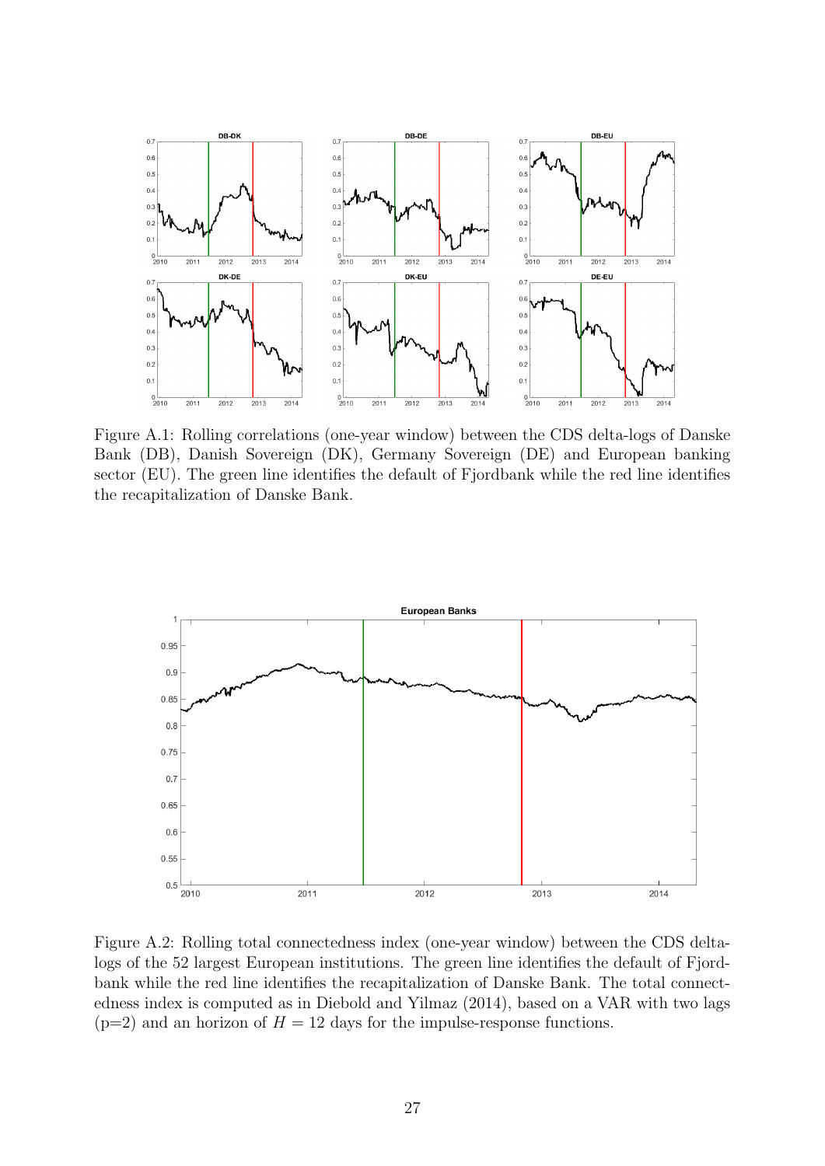

Figure A.1: Rolling correlations (one-year window) between the CDS delta-logs of Danske Bank (DB), Danish Sovereign (DK), Germany Sovereign (DE) and European banking sector (EU). The green line identifies the default of Fjordbank while the red line identifies the recapitalization of Danske Bank.



Figure A.2: Rolling total connectedness index (one-year window) between the CDS deltalogs of the 52 largest European institutions. The green line identifies the default of Fjordbank while the red line identifies the recapitalization of Danske Bank. The total connectedness index is computed as in Diebold and Yilmaz (2014), based on a VAR with two lags  $(p=2)$  and an horizon of  $H = 12$  days for the impulse-response functions.